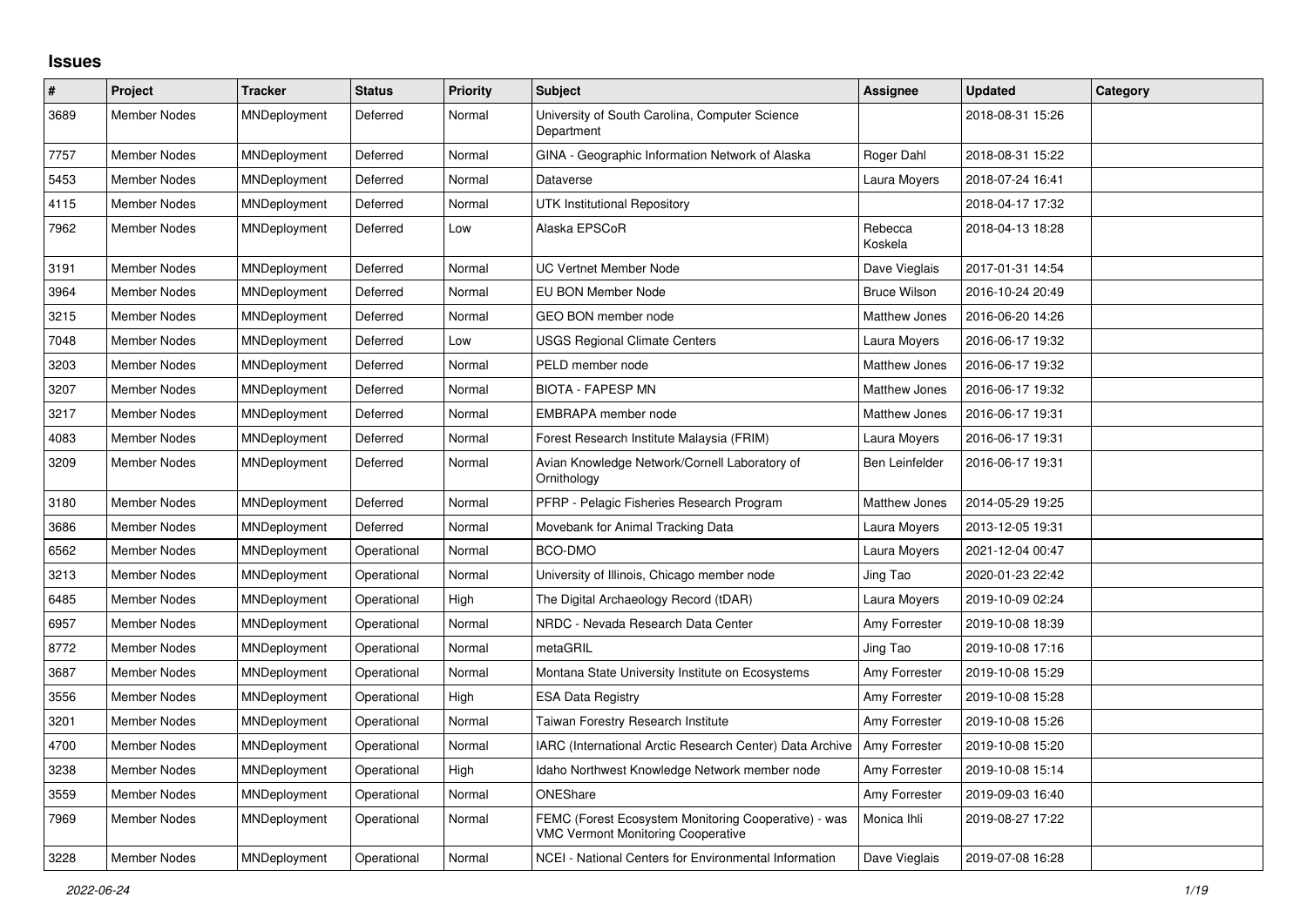## **Issues**

| $\pmb{\#}$ | Project             | <b>Tracker</b> | <b>Status</b> | <b>Priority</b> | <b>Subject</b>                                                                                    | Assignee              | <b>Updated</b>   | Category |
|------------|---------------------|----------------|---------------|-----------------|---------------------------------------------------------------------------------------------------|-----------------------|------------------|----------|
| 3689       | <b>Member Nodes</b> | MNDeployment   | Deferred      | Normal          | University of South Carolina, Computer Science<br>Department                                      |                       | 2018-08-31 15:26 |          |
| 7757       | Member Nodes        | MNDeployment   | Deferred      | Normal          | GINA - Geographic Information Network of Alaska                                                   | Roger Dahl            | 2018-08-31 15:22 |          |
| 5453       | <b>Member Nodes</b> | MNDeployment   | Deferred      | Normal          | Dataverse                                                                                         | Laura Moyers          | 2018-07-24 16:41 |          |
| 4115       | Member Nodes        | MNDeployment   | Deferred      | Normal          | <b>UTK Institutional Repository</b>                                                               |                       | 2018-04-17 17:32 |          |
| 7962       | <b>Member Nodes</b> | MNDeployment   | Deferred      | Low             | Alaska EPSCoR                                                                                     | Rebecca<br>Koskela    | 2018-04-13 18:28 |          |
| 3191       | Member Nodes        | MNDeployment   | Deferred      | Normal          | <b>UC Vertnet Member Node</b>                                                                     | Dave Vieglais         | 2017-01-31 14:54 |          |
| 3964       | <b>Member Nodes</b> | MNDeployment   | Deferred      | Normal          | EU BON Member Node                                                                                | <b>Bruce Wilson</b>   | 2016-10-24 20:49 |          |
| 3215       | <b>Member Nodes</b> | MNDeployment   | Deferred      | Normal          | GEO BON member node                                                                               | <b>Matthew Jones</b>  | 2016-06-20 14:26 |          |
| 7048       | <b>Member Nodes</b> | MNDeployment   | Deferred      | Low             | <b>USGS Regional Climate Centers</b>                                                              | Laura Moyers          | 2016-06-17 19:32 |          |
| 3203       | <b>Member Nodes</b> | MNDeployment   | Deferred      | Normal          | PELD member node                                                                                  | Matthew Jones         | 2016-06-17 19:32 |          |
| 3207       | Member Nodes        | MNDeployment   | Deferred      | Normal          | <b>BIOTA - FAPESP MN</b>                                                                          | <b>Matthew Jones</b>  | 2016-06-17 19:32 |          |
| 3217       | Member Nodes        | MNDeployment   | Deferred      | Normal          | EMBRAPA member node                                                                               | <b>Matthew Jones</b>  | 2016-06-17 19:31 |          |
| 4083       | Member Nodes        | MNDeployment   | Deferred      | Normal          | Forest Research Institute Malaysia (FRIM)                                                         | Laura Moyers          | 2016-06-17 19:31 |          |
| 3209       | <b>Member Nodes</b> | MNDeployment   | Deferred      | Normal          | Avian Knowledge Network/Cornell Laboratory of<br>Ornithology                                      | <b>Ben Leinfelder</b> | 2016-06-17 19:31 |          |
| 3180       | <b>Member Nodes</b> | MNDeployment   | Deferred      | Normal          | PFRP - Pelagic Fisheries Research Program                                                         | Matthew Jones         | 2014-05-29 19:25 |          |
| 3686       | <b>Member Nodes</b> | MNDeployment   | Deferred      | Normal          | Movebank for Animal Tracking Data                                                                 | Laura Moyers          | 2013-12-05 19:31 |          |
| 6562       | <b>Member Nodes</b> | MNDeployment   | Operational   | Normal          | BCO-DMO                                                                                           | Laura Moyers          | 2021-12-04 00:47 |          |
| 3213       | <b>Member Nodes</b> | MNDeployment   | Operational   | Normal          | University of Illinois, Chicago member node                                                       | Jing Tao              | 2020-01-23 22:42 |          |
| 6485       | <b>Member Nodes</b> | MNDeployment   | Operational   | High            | The Digital Archaeology Record (tDAR)                                                             | Laura Moyers          | 2019-10-09 02:24 |          |
| 6957       | Member Nodes        | MNDeployment   | Operational   | Normal          | NRDC - Nevada Research Data Center                                                                | Amy Forrester         | 2019-10-08 18:39 |          |
| 8772       | Member Nodes        | MNDeployment   | Operational   | Normal          | metaGRIL                                                                                          | Jing Tao              | 2019-10-08 17:16 |          |
| 3687       | <b>Member Nodes</b> | MNDeployment   | Operational   | Normal          | Montana State University Institute on Ecosystems                                                  | Amy Forrester         | 2019-10-08 15:29 |          |
| 3556       | Member Nodes        | MNDeployment   | Operational   | High            | <b>ESA Data Registry</b>                                                                          | Amy Forrester         | 2019-10-08 15:28 |          |
| 3201       | <b>Member Nodes</b> | MNDeployment   | Operational   | Normal          | Taiwan Forestry Research Institute                                                                | Amy Forrester         | 2019-10-08 15:26 |          |
| 4700       | <b>Member Nodes</b> | MNDeployment   | Operational   | Normal          | IARC (International Arctic Research Center) Data Archive                                          | Amy Forrester         | 2019-10-08 15:20 |          |
| 3238       | <b>Member Nodes</b> | MNDeployment   | Operational   | High            | Idaho Northwest Knowledge Network member node                                                     | Amy Forrester         | 2019-10-08 15:14 |          |
| 3559       | <b>Member Nodes</b> | MNDeployment   | Operational   | Normal          | ONEShare                                                                                          | Amy Forrester         | 2019-09-03 16:40 |          |
| 7969       | <b>Member Nodes</b> | MNDeployment   | Operational   | Normal          | FEMC (Forest Ecosystem Monitoring Cooperative) - was<br><b>VMC Vermont Monitoring Cooperative</b> | Monica Ihli           | 2019-08-27 17:22 |          |
| 3228       | Member Nodes        | MNDeployment   | Operational   | Normal          | NCEI - National Centers for Environmental Information                                             | Dave Vieglais         | 2019-07-08 16:28 |          |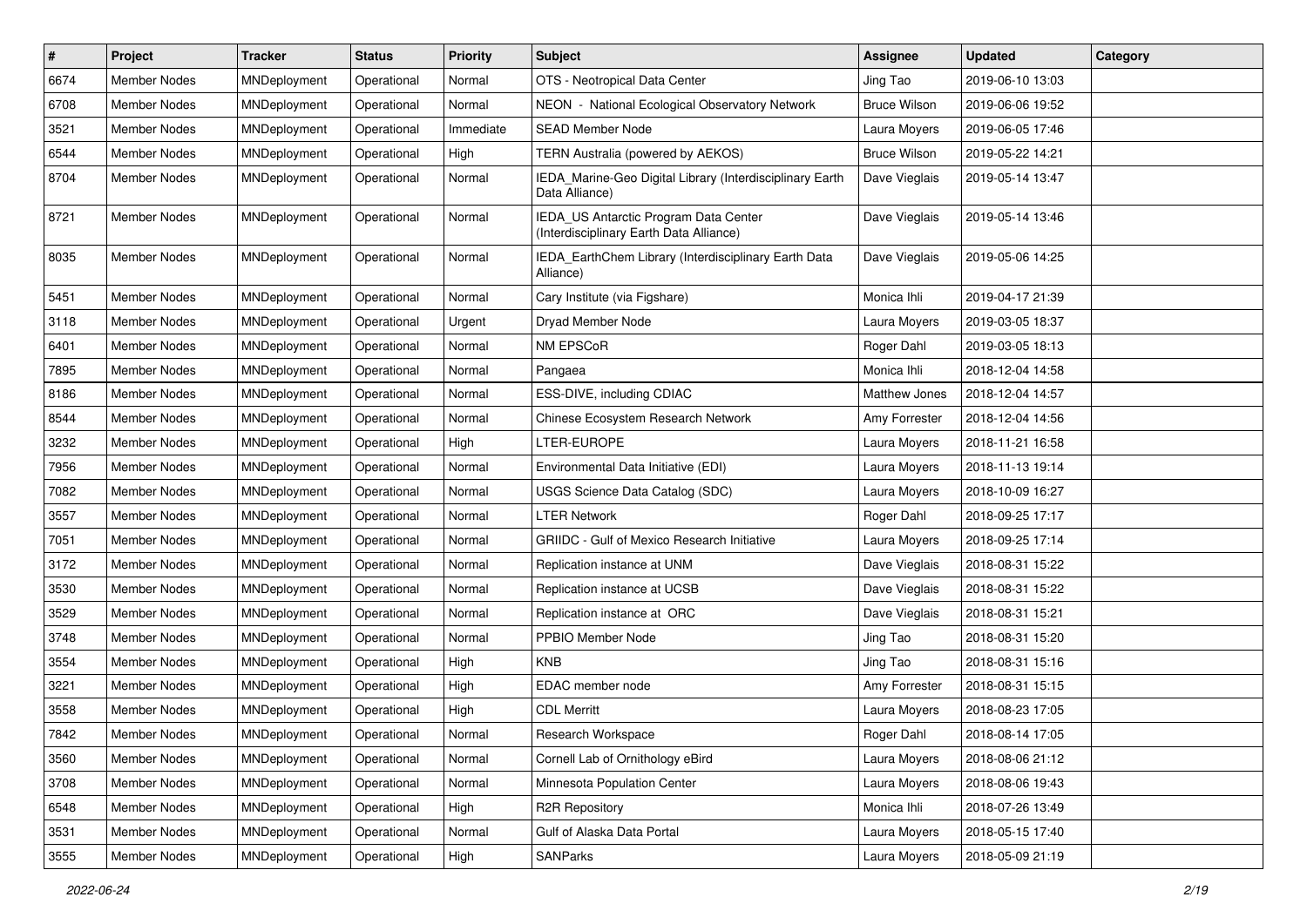| $\vert$ # | Project             | <b>Tracker</b> | <b>Status</b> | <b>Priority</b> | <b>Subject</b>                                                                   | <b>Assignee</b>     | <b>Updated</b>   | Category |
|-----------|---------------------|----------------|---------------|-----------------|----------------------------------------------------------------------------------|---------------------|------------------|----------|
| 6674      | <b>Member Nodes</b> | MNDeployment   | Operational   | Normal          | OTS - Neotropical Data Center                                                    | Jing Tao            | 2019-06-10 13:03 |          |
| 6708      | <b>Member Nodes</b> | MNDeployment   | Operational   | Normal          | NEON - National Ecological Observatory Network                                   | <b>Bruce Wilson</b> | 2019-06-06 19:52 |          |
| 3521      | <b>Member Nodes</b> | MNDeployment   | Operational   | Immediate       | <b>SEAD Member Node</b>                                                          | Laura Moyers        | 2019-06-05 17:46 |          |
| 6544      | Member Nodes        | MNDeployment   | Operational   | High            | <b>TERN Australia (powered by AEKOS)</b>                                         | <b>Bruce Wilson</b> | 2019-05-22 14:21 |          |
| 8704      | Member Nodes        | MNDeployment   | Operational   | Normal          | IEDA_Marine-Geo Digital Library (Interdisciplinary Earth<br>Data Alliance)       | Dave Vieglais       | 2019-05-14 13:47 |          |
| 8721      | Member Nodes        | MNDeployment   | Operational   | Normal          | IEDA_US Antarctic Program Data Center<br>(Interdisciplinary Earth Data Alliance) | Dave Vieglais       | 2019-05-14 13:46 |          |
| 8035      | Member Nodes        | MNDeployment   | Operational   | Normal          | IEDA_EarthChem Library (Interdisciplinary Earth Data<br>Alliance)                | Dave Vieglais       | 2019-05-06 14:25 |          |
| 5451      | <b>Member Nodes</b> | MNDeployment   | Operational   | Normal          | Cary Institute (via Figshare)                                                    | Monica Ihli         | 2019-04-17 21:39 |          |
| 3118      | Member Nodes        | MNDeployment   | Operational   | Urgent          | Dryad Member Node                                                                | Laura Moyers        | 2019-03-05 18:37 |          |
| 6401      | <b>Member Nodes</b> | MNDeployment   | Operational   | Normal          | NM EPSCoR                                                                        | Roger Dahl          | 2019-03-05 18:13 |          |
| 7895      | Member Nodes        | MNDeployment   | Operational   | Normal          | Pangaea                                                                          | Monica Ihli         | 2018-12-04 14:58 |          |
| 8186      | <b>Member Nodes</b> | MNDeployment   | Operational   | Normal          | ESS-DIVE, including CDIAC                                                        | Matthew Jones       | 2018-12-04 14:57 |          |
| 8544      | Member Nodes        | MNDeployment   | Operational   | Normal          | Chinese Ecosystem Research Network                                               | Amy Forrester       | 2018-12-04 14:56 |          |
| 3232      | Member Nodes        | MNDeployment   | Operational   | High            | LTER-EUROPE                                                                      | Laura Moyers        | 2018-11-21 16:58 |          |
| 7956      | Member Nodes        | MNDeployment   | Operational   | Normal          | Environmental Data Initiative (EDI)                                              | Laura Moyers        | 2018-11-13 19:14 |          |
| 7082      | <b>Member Nodes</b> | MNDeployment   | Operational   | Normal          | USGS Science Data Catalog (SDC)                                                  | Laura Moyers        | 2018-10-09 16:27 |          |
| 3557      | Member Nodes        | MNDeployment   | Operational   | Normal          | <b>LTER Network</b>                                                              | Roger Dahl          | 2018-09-25 17:17 |          |
| 7051      | Member Nodes        | MNDeployment   | Operational   | Normal          | GRIIDC - Gulf of Mexico Research Initiative                                      | Laura Moyers        | 2018-09-25 17:14 |          |
| 3172      | <b>Member Nodes</b> | MNDeployment   | Operational   | Normal          | Replication instance at UNM                                                      | Dave Vieglais       | 2018-08-31 15:22 |          |
| 3530      | Member Nodes        | MNDeployment   | Operational   | Normal          | Replication instance at UCSB                                                     | Dave Vieglais       | 2018-08-31 15:22 |          |
| 3529      | <b>Member Nodes</b> | MNDeployment   | Operational   | Normal          | Replication instance at ORC                                                      | Dave Vieglais       | 2018-08-31 15:21 |          |
| 3748      | Member Nodes        | MNDeployment   | Operational   | Normal          | PPBIO Member Node                                                                | Jing Tao            | 2018-08-31 15:20 |          |
| 3554      | <b>Member Nodes</b> | MNDeployment   | Operational   | High            | <b>KNB</b>                                                                       | Jing Tao            | 2018-08-31 15:16 |          |
| 3221      | Member Nodes        | MNDeployment   | Operational   | High            | EDAC member node                                                                 | Amy Forrester       | 2018-08-31 15:15 |          |
| 3558      | <b>Member Nodes</b> | MNDeployment   | Operational   | High            | <b>CDL Merritt</b>                                                               | Laura Moyers        | 2018-08-23 17:05 |          |
| 7842      | Member Nodes        | MNDeployment   | Operational   | Normal          | Research Workspace                                                               | Roger Dahl          | 2018-08-14 17:05 |          |
| 3560      | Member Nodes        | MNDeployment   | Operational   | Normal          | Cornell Lab of Ornithology eBird                                                 | Laura Moyers        | 2018-08-06 21:12 |          |
| 3708      | Member Nodes        | MNDeployment   | Operational   | Normal          | Minnesota Population Center                                                      | Laura Moyers        | 2018-08-06 19:43 |          |
| 6548      | Member Nodes        | MNDeployment   | Operational   | High            | R2R Repository                                                                   | Monica Ihli         | 2018-07-26 13:49 |          |
| 3531      | Member Nodes        | MNDeployment   | Operational   | Normal          | Gulf of Alaska Data Portal                                                       | Laura Moyers        | 2018-05-15 17:40 |          |
| 3555      | Member Nodes        | MNDeployment   | Operational   | High            | SANParks                                                                         | Laura Moyers        | 2018-05-09 21:19 |          |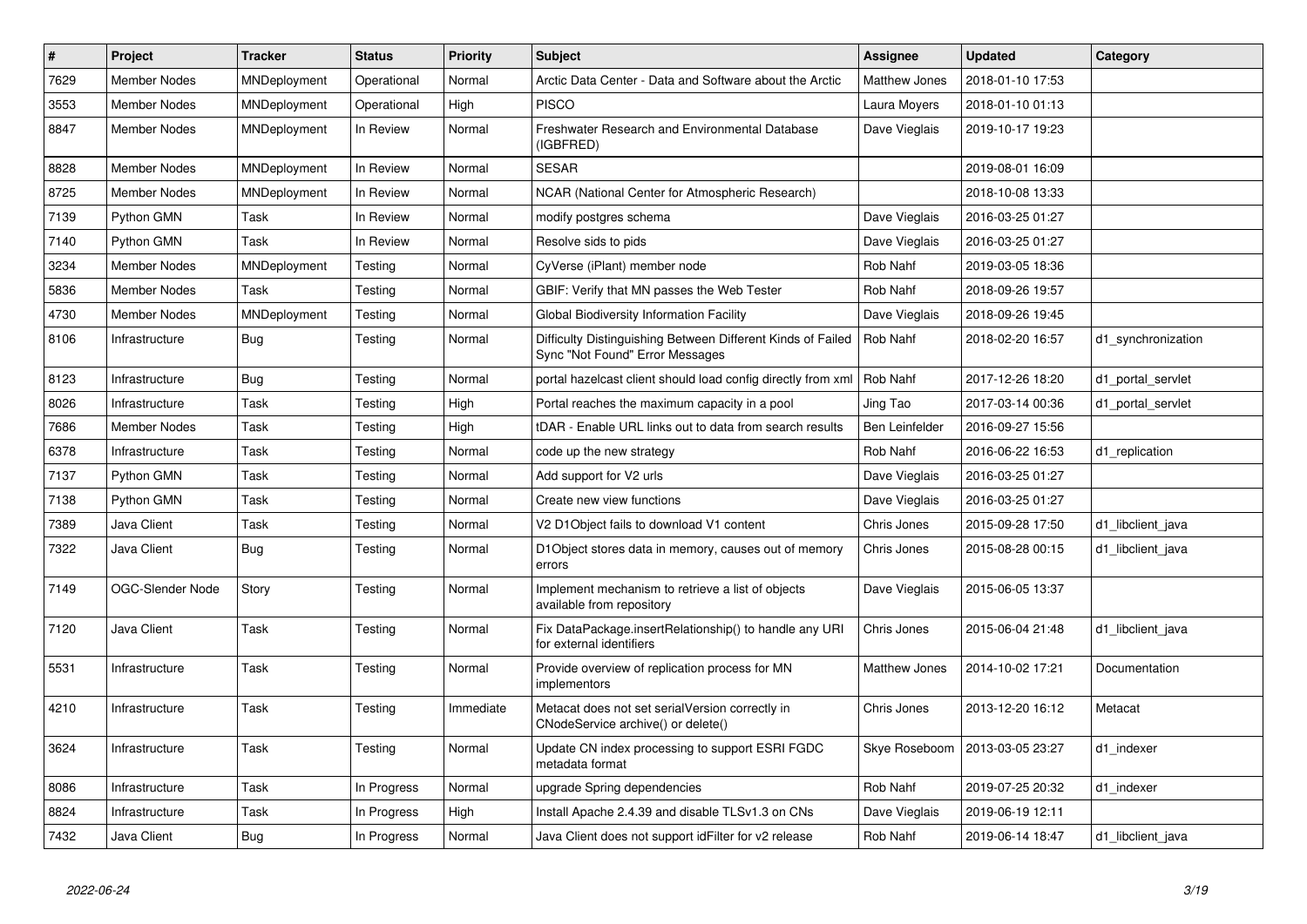| $\vert$ # | Project             | <b>Tracker</b> | <b>Status</b> | <b>Priority</b> | <b>Subject</b>                                                                                 | <b>Assignee</b>       | <b>Updated</b>   | Category           |
|-----------|---------------------|----------------|---------------|-----------------|------------------------------------------------------------------------------------------------|-----------------------|------------------|--------------------|
| 7629      | <b>Member Nodes</b> | MNDeployment   | Operational   | Normal          | Arctic Data Center - Data and Software about the Arctic                                        | <b>Matthew Jones</b>  | 2018-01-10 17:53 |                    |
| 3553      | <b>Member Nodes</b> | MNDeployment   | Operational   | High            | <b>PISCO</b>                                                                                   | Laura Moyers          | 2018-01-10 01:13 |                    |
| 8847      | Member Nodes        | MNDeployment   | In Review     | Normal          | Freshwater Research and Environmental Database<br>(IGBFRED)                                    | Dave Vieglais         | 2019-10-17 19:23 |                    |
| 8828      | <b>Member Nodes</b> | MNDeployment   | In Review     | Normal          | <b>SESAR</b>                                                                                   |                       | 2019-08-01 16:09 |                    |
| 8725      | <b>Member Nodes</b> | MNDeployment   | In Review     | Normal          | NCAR (National Center for Atmospheric Research)                                                |                       | 2018-10-08 13:33 |                    |
| 7139      | Python GMN          | Task           | In Review     | Normal          | modify postgres schema                                                                         | Dave Vieglais         | 2016-03-25 01:27 |                    |
| 7140      | Python GMN          | Task           | In Review     | Normal          | Resolve sids to pids                                                                           | Dave Vieglais         | 2016-03-25 01:27 |                    |
| 3234      | <b>Member Nodes</b> | MNDeployment   | Testing       | Normal          | CyVerse (iPlant) member node                                                                   | Rob Nahf              | 2019-03-05 18:36 |                    |
| 5836      | <b>Member Nodes</b> | Task           | Testing       | Normal          | GBIF: Verify that MN passes the Web Tester                                                     | Rob Nahf              | 2018-09-26 19:57 |                    |
| 4730      | <b>Member Nodes</b> | MNDeployment   | Testing       | Normal          | <b>Global Biodiversity Information Facility</b>                                                | Dave Vieglais         | 2018-09-26 19:45 |                    |
| 8106      | Infrastructure      | <b>Bug</b>     | Testing       | Normal          | Difficulty Distinguishing Between Different Kinds of Failed<br>Sync "Not Found" Error Messages | Rob Nahf              | 2018-02-20 16:57 | d1 synchronization |
| 8123      | Infrastructure      | <b>Bug</b>     | Testing       | Normal          | portal hazelcast client should load config directly from xml                                   | Rob Nahf              | 2017-12-26 18:20 | d1 portal servlet  |
| 8026      | Infrastructure      | Task           | Testing       | High            | Portal reaches the maximum capacity in a pool                                                  | Jing Tao              | 2017-03-14 00:36 | d1 portal servlet  |
| 7686      | <b>Member Nodes</b> | Task           | Testing       | High            | tDAR - Enable URL links out to data from search results                                        | <b>Ben Leinfelder</b> | 2016-09-27 15:56 |                    |
| 6378      | Infrastructure      | Task           | Testing       | Normal          | code up the new strategy                                                                       | Rob Nahf              | 2016-06-22 16:53 | d1 replication     |
| 7137      | Python GMN          | Task           | Testing       | Normal          | Add support for V2 urls                                                                        | Dave Vieglais         | 2016-03-25 01:27 |                    |
| 7138      | Python GMN          | Task           | Testing       | Normal          | Create new view functions                                                                      | Dave Vieglais         | 2016-03-25 01:27 |                    |
| 7389      | Java Client         | Task           | Testing       | Normal          | V2 D1Object fails to download V1 content                                                       | Chris Jones           | 2015-09-28 17:50 | d1 libclient java  |
| 7322      | Java Client         | <b>Bug</b>     | Testing       | Normal          | D1Object stores data in memory, causes out of memory<br>errors                                 | Chris Jones           | 2015-08-28 00:15 | d1 libclient java  |
| 7149      | OGC-Slender Node    | Story          | Testing       | Normal          | Implement mechanism to retrieve a list of objects<br>available from repository                 | Dave Vieglais         | 2015-06-05 13:37 |                    |
| 7120      | Java Client         | Task           | Testing       | Normal          | Fix DataPackage.insertRelationship() to handle any URI<br>for external identifiers             | Chris Jones           | 2015-06-04 21:48 | d1 libclient java  |
| 5531      | Infrastructure      | Task           | Testing       | Normal          | Provide overview of replication process for MN<br>implementors                                 | <b>Matthew Jones</b>  | 2014-10-02 17:21 | Documentation      |
| 4210      | Infrastructure      | Task           | Testing       | Immediate       | Metacat does not set serialVersion correctly in<br>CNodeService archive() or delete()          | Chris Jones           | 2013-12-20 16:12 | Metacat            |
| 3624      | Infrastructure      | Task           | Testing       | Normal          | Update CN index processing to support ESRI FGDC<br>metadata format                             | Skye Roseboom         | 2013-03-05 23:27 | d1_indexer         |
| 8086      | Infrastructure      | Task           | In Progress   | Normal          | upgrade Spring dependencies                                                                    | Rob Nahf              | 2019-07-25 20:32 | d1 indexer         |
| 8824      | Infrastructure      | Task           | In Progress   | High            | Install Apache 2.4.39 and disable TLSv1.3 on CNs                                               | Dave Vieglais         | 2019-06-19 12:11 |                    |
| 7432      | Java Client         | <b>Bug</b>     | In Progress   | Normal          | Java Client does not support id Filter for v2 release                                          | <b>Rob Nahf</b>       | 2019-06-14 18:47 | d1 libclient java  |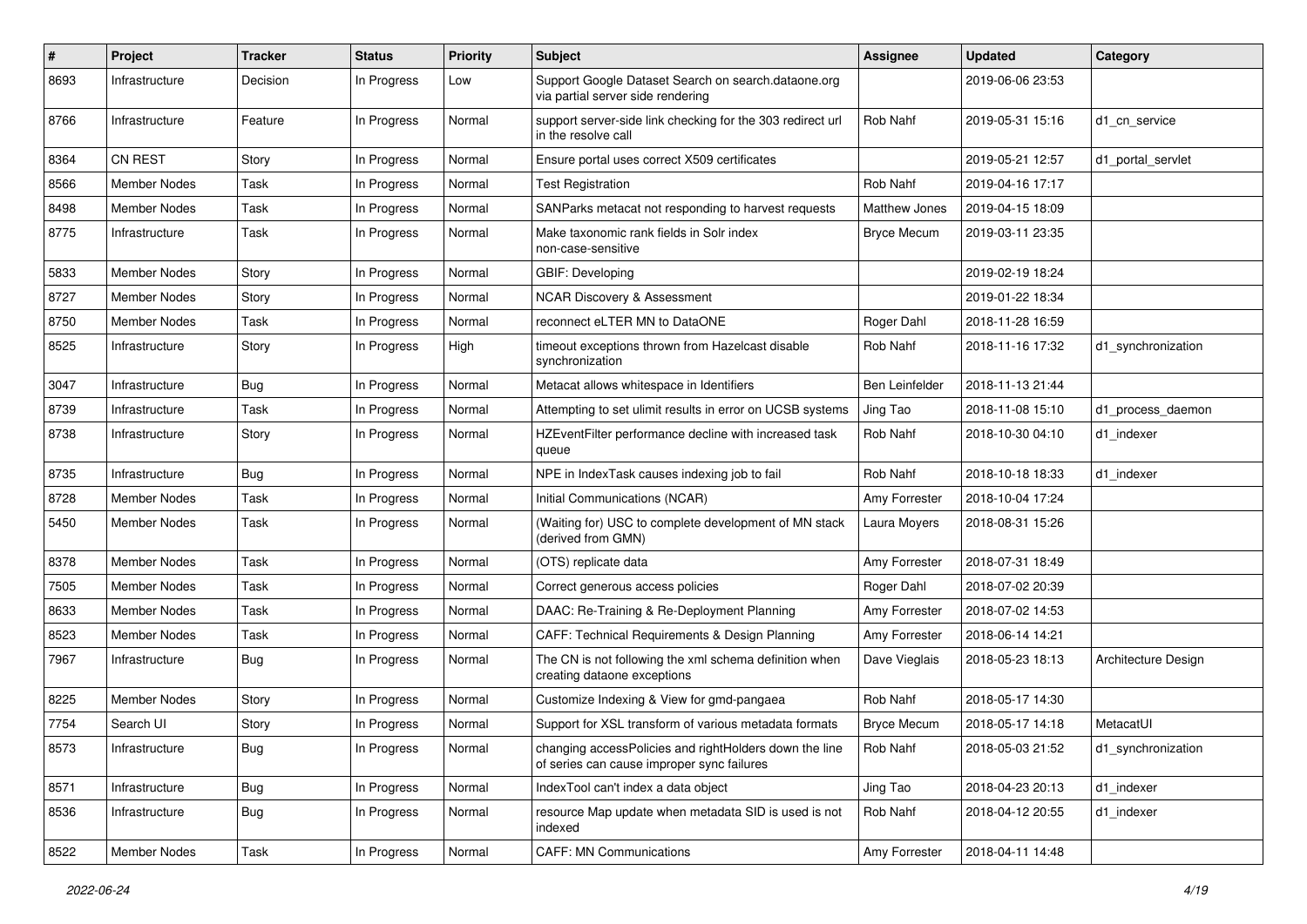| $\#$ | <b>Project</b>      | <b>Tracker</b> | <b>Status</b> | <b>Priority</b> | <b>Subject</b>                                                                                       | <b>Assignee</b>      | <b>Updated</b>   | Category            |
|------|---------------------|----------------|---------------|-----------------|------------------------------------------------------------------------------------------------------|----------------------|------------------|---------------------|
| 8693 | Infrastructure      | Decision       | In Progress   | Low             | Support Google Dataset Search on search.dataone.org<br>via partial server side rendering             |                      | 2019-06-06 23:53 |                     |
| 8766 | Infrastructure      | Feature        | In Progress   | Normal          | support server-side link checking for the 303 redirect url<br>in the resolve call                    | Rob Nahf             | 2019-05-31 15:16 | d1 cn service       |
| 8364 | <b>CN REST</b>      | Story          | In Progress   | Normal          | Ensure portal uses correct X509 certificates                                                         |                      | 2019-05-21 12:57 | d1 portal servlet   |
| 8566 | Member Nodes        | Task           | In Progress   | Normal          | <b>Test Registration</b>                                                                             | Rob Nahf             | 2019-04-16 17:17 |                     |
| 8498 | <b>Member Nodes</b> | Task           | In Progress   | Normal          | SANParks metacat not responding to harvest requests                                                  | <b>Matthew Jones</b> | 2019-04-15 18:09 |                     |
| 8775 | Infrastructure      | Task           | In Progress   | Normal          | Make taxonomic rank fields in Solr index<br>non-case-sensitive                                       | <b>Bryce Mecum</b>   | 2019-03-11 23:35 |                     |
| 5833 | Member Nodes        | Story          | In Progress   | Normal          | GBIF: Developing                                                                                     |                      | 2019-02-19 18:24 |                     |
| 8727 | Member Nodes        | Story          | In Progress   | Normal          | <b>NCAR Discovery &amp; Assessment</b>                                                               |                      | 2019-01-22 18:34 |                     |
| 8750 | Member Nodes        | Task           | In Progress   | Normal          | reconnect eLTER MN to DataONE                                                                        | Roger Dahl           | 2018-11-28 16:59 |                     |
| 8525 | Infrastructure      | Story          | In Progress   | High            | timeout exceptions thrown from Hazelcast disable<br>synchronization                                  | Rob Nahf             | 2018-11-16 17:32 | d1_synchronization  |
| 3047 | Infrastructure      | Bug            | In Progress   | Normal          | Metacat allows whitespace in Identifiers                                                             | Ben Leinfelder       | 2018-11-13 21:44 |                     |
| 8739 | Infrastructure      | Task           | In Progress   | Normal          | Attempting to set ulimit results in error on UCSB systems                                            | Jing Tao             | 2018-11-08 15:10 | d1_process_daemon   |
| 8738 | Infrastructure      | Story          | In Progress   | Normal          | HZEventFilter performance decline with increased task<br>queue                                       | Rob Nahf             | 2018-10-30 04:10 | d1 indexer          |
| 8735 | Infrastructure      | Bug            | In Progress   | Normal          | NPE in IndexTask causes indexing job to fail                                                         | Rob Nahf             | 2018-10-18 18:33 | d1 indexer          |
| 8728 | Member Nodes        | Task           | In Progress   | Normal          | Initial Communications (NCAR)                                                                        | Amy Forrester        | 2018-10-04 17:24 |                     |
| 5450 | Member Nodes        | Task           | In Progress   | Normal          | (Waiting for) USC to complete development of MN stack<br>(derived from GMN)                          | Laura Moyers         | 2018-08-31 15:26 |                     |
| 8378 | <b>Member Nodes</b> | Task           | In Progress   | Normal          | (OTS) replicate data                                                                                 | Amy Forrester        | 2018-07-31 18:49 |                     |
| 7505 | Member Nodes        | Task           | In Progress   | Normal          | Correct generous access policies                                                                     | Roger Dahl           | 2018-07-02 20:39 |                     |
| 8633 | Member Nodes        | Task           | In Progress   | Normal          | DAAC: Re-Training & Re-Deployment Planning                                                           | Amy Forrester        | 2018-07-02 14:53 |                     |
| 8523 | Member Nodes        | Task           | In Progress   | Normal          | CAFF: Technical Requirements & Design Planning                                                       | Amy Forrester        | 2018-06-14 14:21 |                     |
| 7967 | Infrastructure      | <b>Bug</b>     | In Progress   | Normal          | The CN is not following the xml schema definition when<br>creating dataone exceptions                | Dave Vieglais        | 2018-05-23 18:13 | Architecture Design |
| 8225 | Member Nodes        | Story          | In Progress   | Normal          | Customize Indexing & View for gmd-pangaea                                                            | Rob Nahf             | 2018-05-17 14:30 |                     |
| 7754 | Search UI           | Story          | In Progress   | Normal          | Support for XSL transform of various metadata formats                                                | <b>Bryce Mecum</b>   | 2018-05-17 14:18 | MetacatUI           |
| 8573 | Infrastructure      | <b>Bug</b>     | In Progress   | Normal          | changing accessPolicies and rightHolders down the line<br>of series can cause improper sync failures | Rob Nahf             | 2018-05-03 21:52 | d1_synchronization  |
| 8571 | Infrastructure      | Bug            | In Progress   | Normal          | IndexTool can't index a data object                                                                  | Jing Tao             | 2018-04-23 20:13 | d1_indexer          |
| 8536 | Infrastructure      | <b>Bug</b>     | In Progress   | Normal          | resource Map update when metadata SID is used is not<br>indexed                                      | Rob Nahf             | 2018-04-12 20:55 | d1_indexer          |
| 8522 | <b>Member Nodes</b> | Task           | In Progress   | Normal          | <b>CAFF: MN Communications</b>                                                                       | Amy Forrester        | 2018-04-11 14:48 |                     |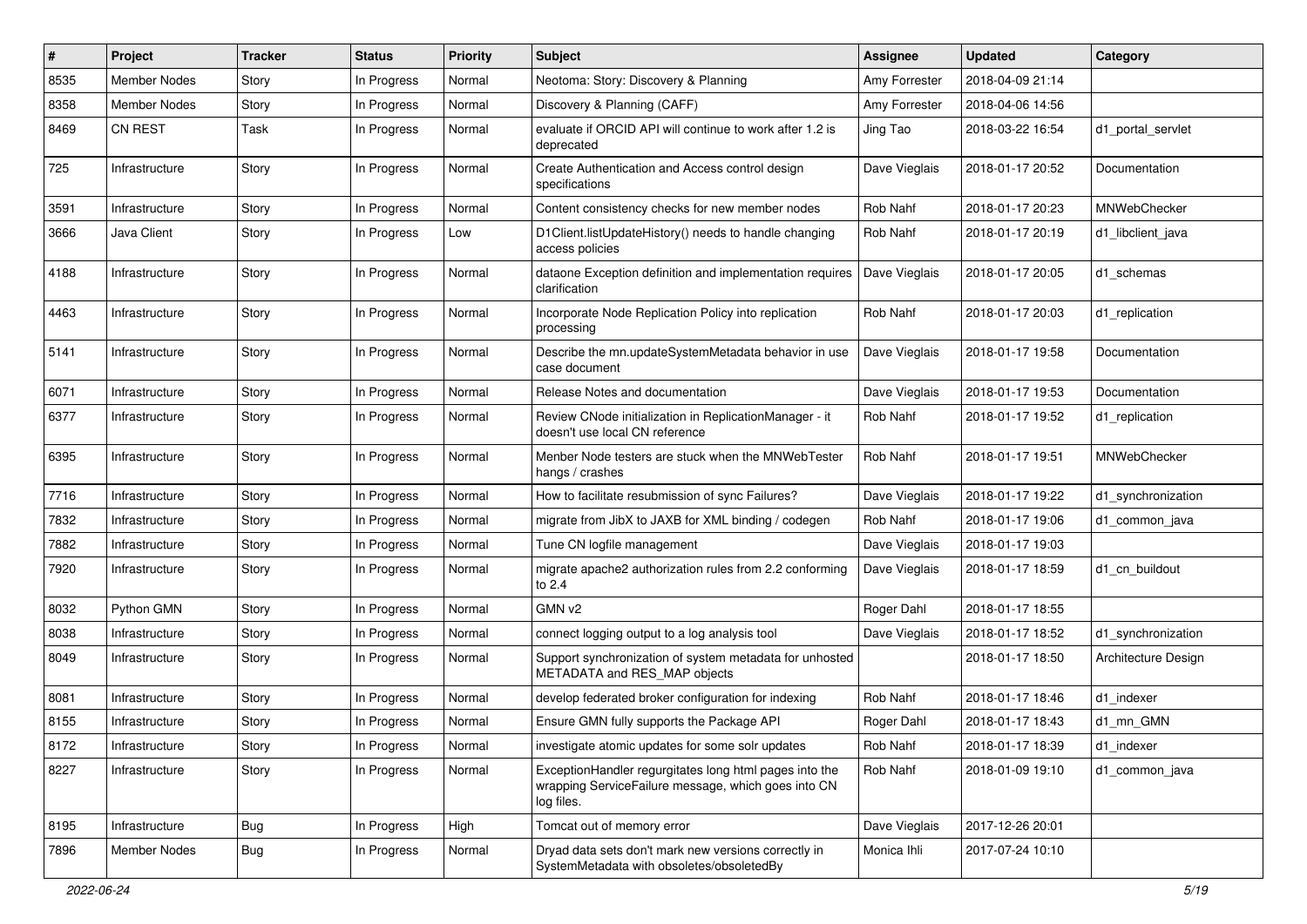| #    | Project             | <b>Tracker</b> | <b>Status</b> | <b>Priority</b> | <b>Subject</b>                                                                                                              | Assignee      | <b>Updated</b>   | Category            |
|------|---------------------|----------------|---------------|-----------------|-----------------------------------------------------------------------------------------------------------------------------|---------------|------------------|---------------------|
| 8535 | <b>Member Nodes</b> | Story          | In Progress   | Normal          | Neotoma: Story: Discovery & Planning                                                                                        | Amy Forrester | 2018-04-09 21:14 |                     |
| 8358 | <b>Member Nodes</b> | Story          | In Progress   | Normal          | Discovery & Planning (CAFF)                                                                                                 | Amy Forrester | 2018-04-06 14:56 |                     |
| 8469 | <b>CN REST</b>      | Task           | In Progress   | Normal          | evaluate if ORCID API will continue to work after 1.2 is<br>deprecated                                                      | Jing Tao      | 2018-03-22 16:54 | d1_portal_servlet   |
| 725  | Infrastructure      | Story          | In Progress   | Normal          | Create Authentication and Access control design<br>specifications                                                           | Dave Vieglais | 2018-01-17 20:52 | Documentation       |
| 3591 | Infrastructure      | Story          | In Progress   | Normal          | Content consistency checks for new member nodes                                                                             | Rob Nahf      | 2018-01-17 20:23 | MNWebChecker        |
| 3666 | Java Client         | Story          | In Progress   | Low             | D1Client.listUpdateHistory() needs to handle changing<br>access policies                                                    | Rob Nahf      | 2018-01-17 20:19 | d1 libclient java   |
| 4188 | Infrastructure      | Story          | In Progress   | Normal          | dataone Exception definition and implementation requires<br>clarification                                                   | Dave Vieglais | 2018-01-17 20:05 | d1 schemas          |
| 4463 | Infrastructure      | Story          | In Progress   | Normal          | Incorporate Node Replication Policy into replication<br>processing                                                          | Rob Nahf      | 2018-01-17 20:03 | d1 replication      |
| 5141 | Infrastructure      | Story          | In Progress   | Normal          | Describe the mn.updateSystemMetadata behavior in use<br>case document                                                       | Dave Vieglais | 2018-01-17 19:58 | Documentation       |
| 6071 | Infrastructure      | Story          | In Progress   | Normal          | Release Notes and documentation                                                                                             | Dave Vieglais | 2018-01-17 19:53 | Documentation       |
| 6377 | Infrastructure      | Story          | In Progress   | Normal          | Review CNode initialization in ReplicationManager - it<br>doesn't use local CN reference                                    | Rob Nahf      | 2018-01-17 19:52 | d1_replication      |
| 6395 | Infrastructure      | Story          | In Progress   | Normal          | Menber Node testers are stuck when the MNWebTester<br>hangs / crashes                                                       | Rob Nahf      | 2018-01-17 19:51 | MNWebChecker        |
| 7716 | Infrastructure      | Story          | In Progress   | Normal          | How to facilitate resubmission of sync Failures?                                                                            | Dave Vieglais | 2018-01-17 19:22 | d1 synchronization  |
| 7832 | Infrastructure      | Story          | In Progress   | Normal          | migrate from JibX to JAXB for XML binding / codegen                                                                         | Rob Nahf      | 2018-01-17 19:06 | d1 common java      |
| 7882 | Infrastructure      | Story          | In Progress   | Normal          | Tune CN logfile management                                                                                                  | Dave Vieglais | 2018-01-17 19:03 |                     |
| 7920 | Infrastructure      | Story          | In Progress   | Normal          | migrate apache2 authorization rules from 2.2 conforming<br>to 2.4                                                           | Dave Vieglais | 2018-01-17 18:59 | d1 cn buildout      |
| 8032 | Python GMN          | Story          | In Progress   | Normal          | GMN v <sub>2</sub>                                                                                                          | Roger Dahl    | 2018-01-17 18:55 |                     |
| 8038 | Infrastructure      | Story          | In Progress   | Normal          | connect logging output to a log analysis tool                                                                               | Dave Vieglais | 2018-01-17 18:52 | d1 synchronization  |
| 8049 | Infrastructure      | Story          | In Progress   | Normal          | Support synchronization of system metadata for unhosted<br>METADATA and RES_MAP objects                                     |               | 2018-01-17 18:50 | Architecture Design |
| 8081 | Infrastructure      | Story          | In Progress   | Normal          | develop federated broker configuration for indexing                                                                         | Rob Nahf      | 2018-01-17 18:46 | d1_indexer          |
| 8155 | Infrastructure      | Story          | In Progress   | Normal          | Ensure GMN fully supports the Package API                                                                                   | Roger Dahl    | 2018-01-17 18:43 | d1 mn GMN           |
| 8172 | Infrastructure      | Story          | In Progress   | Normal          | investigate atomic updates for some solr updates                                                                            | Rob Nahf      | 2018-01-17 18:39 | d1 indexer          |
| 8227 | Infrastructure      | Story          | In Progress   | Normal          | ExceptionHandler regurgitates long html pages into the<br>wrapping ServiceFailure message, which goes into CN<br>log files. | Rob Nahf      | 2018-01-09 19:10 | d1_common_java      |
| 8195 | Infrastructure      | <b>Bug</b>     | In Progress   | High            | Tomcat out of memory error                                                                                                  | Dave Vieglais | 2017-12-26 20:01 |                     |
| 7896 | Member Nodes        | <b>Bug</b>     | In Progress   | Normal          | Dryad data sets don't mark new versions correctly in<br>SystemMetadata with obsoletes/obsoletedBy                           | Monica Ihli   | 2017-07-24 10:10 |                     |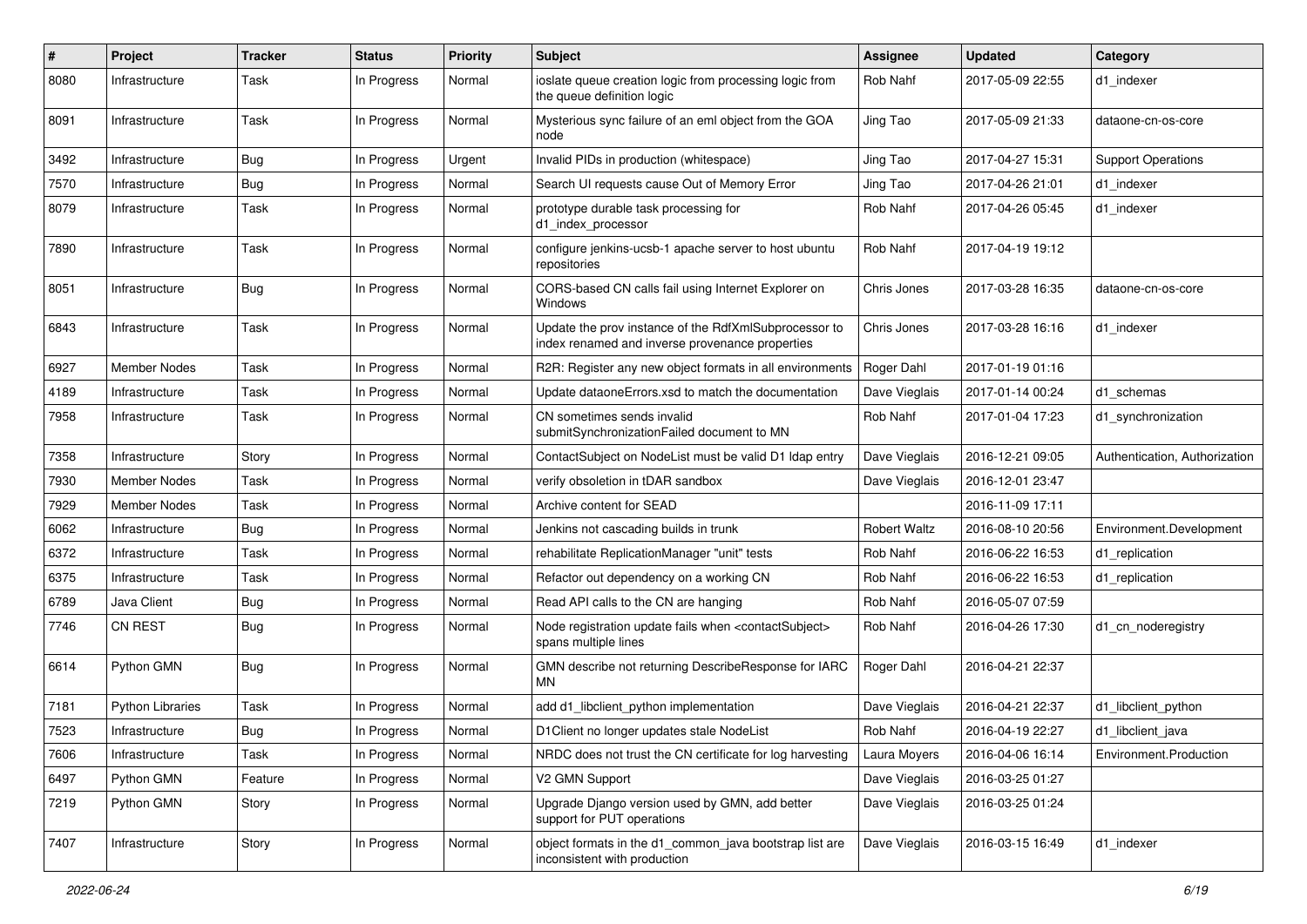| $\pmb{\#}$ | Project                 | <b>Tracker</b> | <b>Status</b> | <b>Priority</b> | Subject                                                                                                  | <b>Assignee</b>     | <b>Updated</b>   | Category                      |
|------------|-------------------------|----------------|---------------|-----------------|----------------------------------------------------------------------------------------------------------|---------------------|------------------|-------------------------------|
| 8080       | Infrastructure          | Task           | In Progress   | Normal          | ioslate queue creation logic from processing logic from<br>the queue definition logic                    | Rob Nahf            | 2017-05-09 22:55 | d1 indexer                    |
| 8091       | Infrastructure          | Task           | In Progress   | Normal          | Mysterious sync failure of an eml object from the GOA<br>node                                            | Jing Tao            | 2017-05-09 21:33 | dataone-cn-os-core            |
| 3492       | Infrastructure          | <b>Bug</b>     | In Progress   | Urgent          | Invalid PIDs in production (whitespace)                                                                  | Jing Tao            | 2017-04-27 15:31 | <b>Support Operations</b>     |
| 7570       | Infrastructure          | Bug            | In Progress   | Normal          | Search UI requests cause Out of Memory Error                                                             | Jing Tao            | 2017-04-26 21:01 | d1 indexer                    |
| 8079       | Infrastructure          | Task           | In Progress   | Normal          | prototype durable task processing for<br>d1_index_processor                                              | <b>Rob Nahf</b>     | 2017-04-26 05:45 | d1 indexer                    |
| 7890       | Infrastructure          | Task           | In Progress   | Normal          | configure jenkins-ucsb-1 apache server to host ubuntu<br>repositories                                    | Rob Nahf            | 2017-04-19 19:12 |                               |
| 8051       | Infrastructure          | <b>Bug</b>     | In Progress   | Normal          | CORS-based CN calls fail using Internet Explorer on<br>Windows                                           | Chris Jones         | 2017-03-28 16:35 | dataone-cn-os-core            |
| 6843       | Infrastructure          | Task           | In Progress   | Normal          | Update the prov instance of the RdfXmlSubprocessor to<br>index renamed and inverse provenance properties | Chris Jones         | 2017-03-28 16:16 | d1_indexer                    |
| 6927       | <b>Member Nodes</b>     | Task           | In Progress   | Normal          | R2R: Register any new object formats in all environments                                                 | Roger Dahl          | 2017-01-19 01:16 |                               |
| 4189       | Infrastructure          | Task           | In Progress   | Normal          | Update dataoneErrors.xsd to match the documentation                                                      | Dave Vieglais       | 2017-01-14 00:24 | d1 schemas                    |
| 7958       | Infrastructure          | Task           | In Progress   | Normal          | CN sometimes sends invalid<br>submitSynchronizationFailed document to MN                                 | Rob Nahf            | 2017-01-04 17:23 | d1_synchronization            |
| 7358       | Infrastructure          | Story          | In Progress   | Normal          | ContactSubject on NodeList must be valid D1 Idap entry                                                   | Dave Vieglais       | 2016-12-21 09:05 | Authentication, Authorization |
| 7930       | Member Nodes            | Task           | In Progress   | Normal          | verify obsoletion in tDAR sandbox                                                                        | Dave Vieglais       | 2016-12-01 23:47 |                               |
| 7929       | <b>Member Nodes</b>     | Task           | In Progress   | Normal          | Archive content for SEAD                                                                                 |                     | 2016-11-09 17:11 |                               |
| 6062       | Infrastructure          | Bug            | In Progress   | Normal          | Jenkins not cascading builds in trunk                                                                    | <b>Robert Waltz</b> | 2016-08-10 20:56 | Environment.Development       |
| 6372       | Infrastructure          | Task           | In Progress   | Normal          | rehabilitate ReplicationManager "unit" tests                                                             | Rob Nahf            | 2016-06-22 16:53 | d1_replication                |
| 6375       | Infrastructure          | Task           | In Progress   | Normal          | Refactor out dependency on a working CN                                                                  | Rob Nahf            | 2016-06-22 16:53 | d1_replication                |
| 6789       | Java Client             | Bug            | In Progress   | Normal          | Read API calls to the CN are hanging                                                                     | Rob Nahf            | 2016-05-07 07:59 |                               |
| 7746       | <b>CN REST</b>          | <b>Bug</b>     | In Progress   | Normal          | Node registration update fails when <contactsubject><br/>spans multiple lines</contactsubject>           | Rob Nahf            | 2016-04-26 17:30 | d1 cn noderegistry            |
| 6614       | Python GMN              | <b>Bug</b>     | In Progress   | Normal          | GMN describe not returning DescribeResponse for IARC<br><b>MN</b>                                        | Roger Dahl          | 2016-04-21 22:37 |                               |
| 7181       | <b>Python Libraries</b> | Task           | In Progress   | Normal          | add d1 libclient python implementation                                                                   | Dave Vieglais       | 2016-04-21 22:37 | d1 libclient python           |
| 7523       | Infrastructure          | Bug            | In Progress   | Normal          | D1 Client no longer updates stale NodeList                                                               | <b>Rob Nahf</b>     | 2016-04-19 22:27 | d1 libclient java             |
| 7606       | Infrastructure          | Task           | In Progress   | Normal          | NRDC does not trust the CN certificate for log harvesting                                                | Laura Moyers        | 2016-04-06 16:14 | Environment.Production        |
| 6497       | Python GMN              | Feature        | In Progress   | Normal          | V2 GMN Support                                                                                           | Dave Vieglais       | 2016-03-25 01:27 |                               |
| 7219       | Python GMN              | Story          | In Progress   | Normal          | Upgrade Django version used by GMN, add better<br>support for PUT operations                             | Dave Vieglais       | 2016-03-25 01:24 |                               |
| 7407       | Infrastructure          | Story          | In Progress   | Normal          | object formats in the d1_common_java bootstrap list are<br>inconsistent with production                  | Dave Vieglais       | 2016-03-15 16:49 | d1_indexer                    |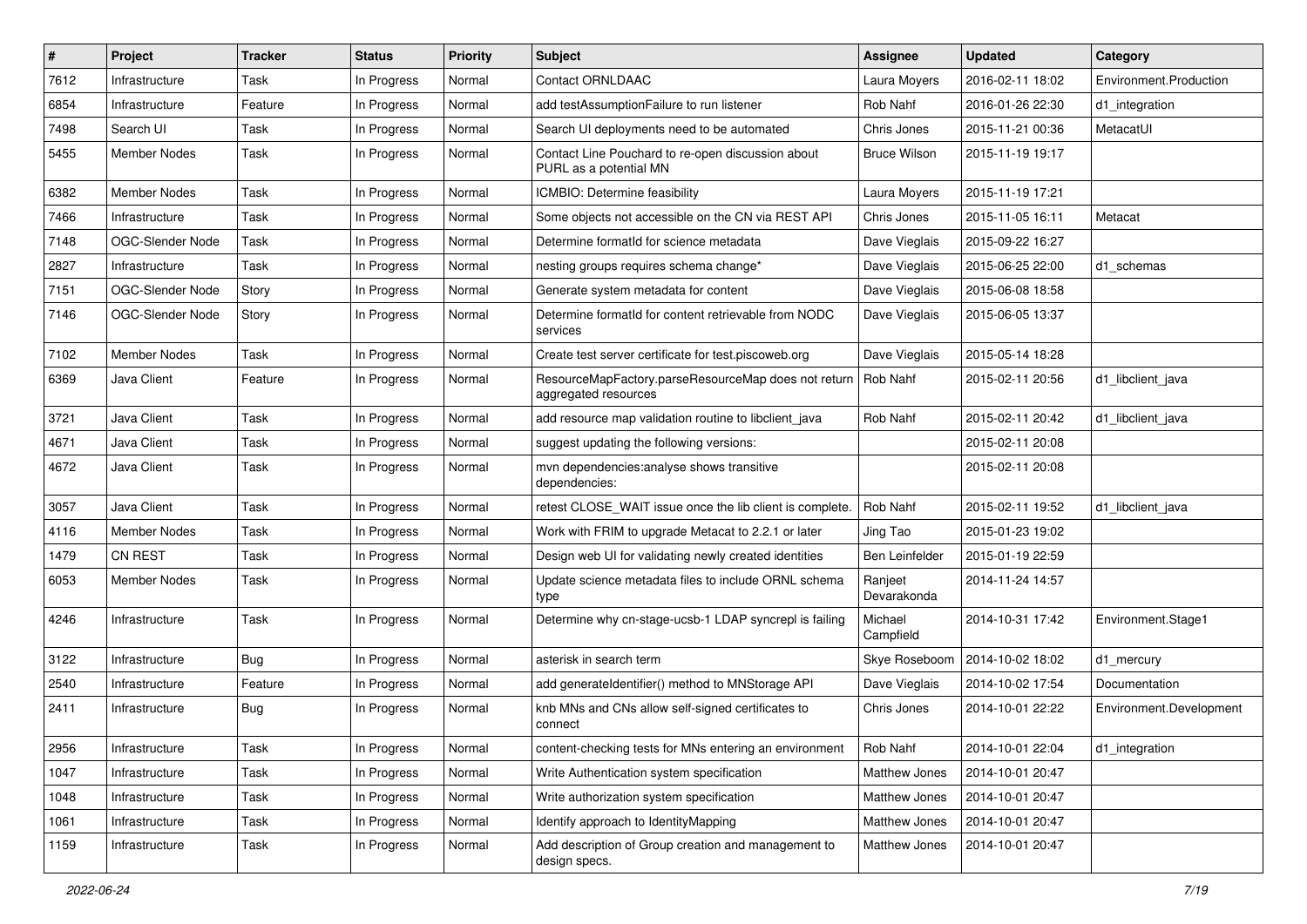| #    | Project             | <b>Tracker</b> | <b>Status</b> | <b>Priority</b> | Subject                                                                     | <b>Assignee</b>        | <b>Updated</b>   | Category                |
|------|---------------------|----------------|---------------|-----------------|-----------------------------------------------------------------------------|------------------------|------------------|-------------------------|
| 7612 | Infrastructure      | Task           | In Progress   | Normal          | Contact ORNLDAAC                                                            | Laura Moyers           | 2016-02-11 18:02 | Environment.Production  |
| 6854 | Infrastructure      | Feature        | In Progress   | Normal          | add testAssumptionFailure to run listener                                   | Rob Nahf               | 2016-01-26 22:30 | d1_integration          |
| 7498 | Search UI           | Task           | In Progress   | Normal          | Search UI deployments need to be automated                                  | Chris Jones            | 2015-11-21 00:36 | MetacatUI               |
| 5455 | Member Nodes        | Task           | In Progress   | Normal          | Contact Line Pouchard to re-open discussion about<br>PURL as a potential MN | <b>Bruce Wilson</b>    | 2015-11-19 19:17 |                         |
| 6382 | <b>Member Nodes</b> | Task           | In Progress   | Normal          | ICMBIO: Determine feasibility                                               | Laura Moyers           | 2015-11-19 17:21 |                         |
| 7466 | Infrastructure      | Task           | In Progress   | Normal          | Some objects not accessible on the CN via REST API                          | Chris Jones            | 2015-11-05 16:11 | Metacat                 |
| 7148 | OGC-Slender Node    | Task           | In Progress   | Normal          | Determine formatId for science metadata                                     | Dave Vieglais          | 2015-09-22 16:27 |                         |
| 2827 | Infrastructure      | Task           | In Progress   | Normal          | nesting groups requires schema change*                                      | Dave Vieglais          | 2015-06-25 22:00 | d1 schemas              |
| 7151 | OGC-Slender Node    | Story          | In Progress   | Normal          | Generate system metadata for content                                        | Dave Vieglais          | 2015-06-08 18:58 |                         |
| 7146 | OGC-Slender Node    | Story          | In Progress   | Normal          | Determine formatId for content retrievable from NODC<br>services            | Dave Vieglais          | 2015-06-05 13:37 |                         |
| 7102 | <b>Member Nodes</b> | Task           | In Progress   | Normal          | Create test server certificate for test.piscoweb.org                        | Dave Vieglais          | 2015-05-14 18:28 |                         |
| 6369 | Java Client         | Feature        | In Progress   | Normal          | ResourceMapFactory.parseResourceMap does not return<br>aggregated resources | Rob Nahf               | 2015-02-11 20:56 | d1_libclient_java       |
| 3721 | Java Client         | Task           | In Progress   | Normal          | add resource map validation routine to libclient java                       | Rob Nahf               | 2015-02-11 20:42 | d1_libclient_java       |
| 4671 | Java Client         | Task           | In Progress   | Normal          | suggest updating the following versions:                                    |                        | 2015-02-11 20:08 |                         |
| 4672 | Java Client         | Task           | In Progress   | Normal          | mvn dependencies: analyse shows transitive<br>dependencies:                 |                        | 2015-02-11 20:08 |                         |
| 3057 | Java Client         | Task           | In Progress   | Normal          | retest CLOSE WAIT issue once the lib client is complete.                    | Rob Nahf               | 2015-02-11 19:52 | d1 libclient java       |
| 4116 | Member Nodes        | Task           | In Progress   | Normal          | Work with FRIM to upgrade Metacat to 2.2.1 or later                         | Jing Tao               | 2015-01-23 19:02 |                         |
| 1479 | <b>CN REST</b>      | Task           | In Progress   | Normal          | Design web UI for validating newly created identities                       | Ben Leinfelder         | 2015-01-19 22:59 |                         |
| 6053 | Member Nodes        | Task           | In Progress   | Normal          | Update science metadata files to include ORNL schema<br>type                | Ranjeet<br>Devarakonda | 2014-11-24 14:57 |                         |
| 4246 | Infrastructure      | Task           | In Progress   | Normal          | Determine why cn-stage-ucsb-1 LDAP syncrepl is failing                      | Michael<br>Campfield   | 2014-10-31 17:42 | Environment.Stage1      |
| 3122 | Infrastructure      | Bug            | In Progress   | Normal          | asterisk in search term                                                     | Skye Roseboom          | 2014-10-02 18:02 | d1_mercury              |
| 2540 | Infrastructure      | Feature        | In Progress   | Normal          | add generateIdentifier() method to MNStorage API                            | Dave Vieglais          | 2014-10-02 17:54 | Documentation           |
| 2411 | Infrastructure      | <b>Bug</b>     | In Progress   | Normal          | knb MNs and CNs allow self-signed certificates to<br>connect                | Chris Jones            | 2014-10-01 22:22 | Environment.Development |
| 2956 | Infrastructure      | Task           | In Progress   | Normal          | content-checking tests for MNs entering an environment                      | Rob Nahf               | 2014-10-01 22:04 | d1_integration          |
| 1047 | Infrastructure      | Task           | In Progress   | Normal          | Write Authentication system specification                                   | Matthew Jones          | 2014-10-01 20:47 |                         |
| 1048 | Infrastructure      | Task           | In Progress   | Normal          | Write authorization system specification                                    | Matthew Jones          | 2014-10-01 20:47 |                         |
| 1061 | Infrastructure      | Task           | In Progress   | Normal          | Identify approach to IdentityMapping                                        | Matthew Jones          | 2014-10-01 20:47 |                         |
| 1159 | Infrastructure      | Task           | In Progress   | Normal          | Add description of Group creation and management to<br>design specs.        | Matthew Jones          | 2014-10-01 20:47 |                         |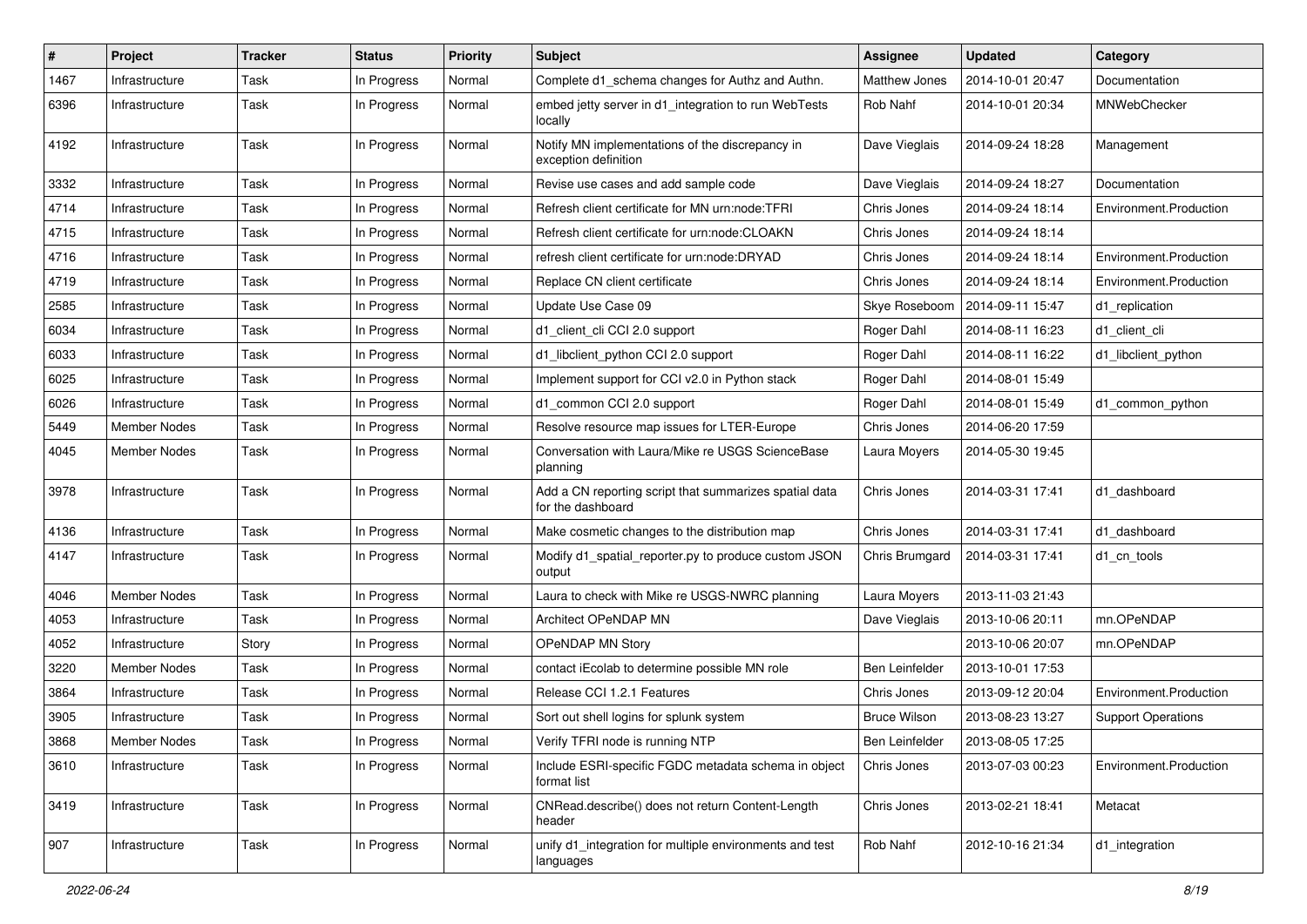| $\sharp$ | <b>Project</b>      | <b>Tracker</b> | <b>Status</b> | Priority | <b>Subject</b>                                                              | <b>Assignee</b>       | <b>Updated</b>   | Category                  |
|----------|---------------------|----------------|---------------|----------|-----------------------------------------------------------------------------|-----------------------|------------------|---------------------------|
| 1467     | Infrastructure      | Task           | In Progress   | Normal   | Complete d1_schema changes for Authz and Authn.                             | <b>Matthew Jones</b>  | 2014-10-01 20:47 | Documentation             |
| 6396     | Infrastructure      | Task           | In Progress   | Normal   | embed jetty server in d1_integration to run WebTests<br>locally             | Rob Nahf              | 2014-10-01 20:34 | MNWebChecker              |
| 4192     | Infrastructure      | Task           | In Progress   | Normal   | Notify MN implementations of the discrepancy in<br>exception definition     | Dave Vieglais         | 2014-09-24 18:28 | Management                |
| 3332     | Infrastructure      | Task           | In Progress   | Normal   | Revise use cases and add sample code                                        | Dave Vieglais         | 2014-09-24 18:27 | Documentation             |
| 4714     | Infrastructure      | Task           | In Progress   | Normal   | Refresh client certificate for MN urn:node:TFRI                             | Chris Jones           | 2014-09-24 18:14 | Environment.Production    |
| 4715     | Infrastructure      | Task           | In Progress   | Normal   | Refresh client certificate for urn:node:CLOAKN                              | Chris Jones           | 2014-09-24 18:14 |                           |
| 4716     | Infrastructure      | Task           | In Progress   | Normal   | refresh client certificate for urn:node:DRYAD                               | Chris Jones           | 2014-09-24 18:14 | Environment.Production    |
| 4719     | Infrastructure      | Task           | In Progress   | Normal   | Replace CN client certificate                                               | Chris Jones           | 2014-09-24 18:14 | Environment.Production    |
| 2585     | Infrastructure      | Task           | In Progress   | Normal   | Update Use Case 09                                                          | Skye Roseboom         | 2014-09-11 15:47 | d1_replication            |
| 6034     | Infrastructure      | Task           | In Progress   | Normal   | d1_client_cli CCI 2.0 support                                               | Roger Dahl            | 2014-08-11 16:23 | d1 client cli             |
| 6033     | Infrastructure      | Task           | In Progress   | Normal   | d1_libclient_python CCI 2.0 support                                         | Roger Dahl            | 2014-08-11 16:22 | d1_libclient_python       |
| 6025     | Infrastructure      | Task           | In Progress   | Normal   | Implement support for CCI v2.0 in Python stack                              | Roger Dahl            | 2014-08-01 15:49 |                           |
| 6026     | Infrastructure      | Task           | In Progress   | Normal   | d1_common CCI 2.0 support                                                   | Roger Dahl            | 2014-08-01 15:49 | d1_common_python          |
| 5449     | Member Nodes        | Task           | In Progress   | Normal   | Resolve resource map issues for LTER-Europe                                 | Chris Jones           | 2014-06-20 17:59 |                           |
| 4045     | Member Nodes        | Task           | In Progress   | Normal   | Conversation with Laura/Mike re USGS ScienceBase<br>planning                | Laura Moyers          | 2014-05-30 19:45 |                           |
| 3978     | Infrastructure      | Task           | In Progress   | Normal   | Add a CN reporting script that summarizes spatial data<br>for the dashboard | Chris Jones           | 2014-03-31 17:41 | d1 dashboard              |
| 4136     | Infrastructure      | Task           | In Progress   | Normal   | Make cosmetic changes to the distribution map                               | Chris Jones           | 2014-03-31 17:41 | d1 dashboard              |
| 4147     | Infrastructure      | Task           | In Progress   | Normal   | Modify d1_spatial_reporter.py to produce custom JSON<br>output              | Chris Brumgard        | 2014-03-31 17:41 | d1_cn_tools               |
| 4046     | <b>Member Nodes</b> | Task           | In Progress   | Normal   | Laura to check with Mike re USGS-NWRC planning                              | Laura Moyers          | 2013-11-03 21:43 |                           |
| 4053     | Infrastructure      | Task           | In Progress   | Normal   | Architect OPeNDAP MN                                                        | Dave Vieglais         | 2013-10-06 20:11 | mn.OPeNDAP                |
| 4052     | Infrastructure      | Story          | In Progress   | Normal   | OPeNDAP MN Story                                                            |                       | 2013-10-06 20:07 | mn.OPeNDAP                |
| 3220     | <b>Member Nodes</b> | Task           | In Progress   | Normal   | contact iEcolab to determine possible MN role                               | <b>Ben Leinfelder</b> | 2013-10-01 17:53 |                           |
| 3864     | Infrastructure      | Task           | In Progress   | Normal   | Release CCI 1.2.1 Features                                                  | Chris Jones           | 2013-09-12 20:04 | Environment.Production    |
| 3905     | Infrastructure      | Task           | In Progress   | Normal   | Sort out shell logins for splunk system                                     | <b>Bruce Wilson</b>   | 2013-08-23 13:27 | <b>Support Operations</b> |
| 3868     | Member Nodes        | Task           | In Progress   | Normal   | Verify TFRI node is running NTP                                             | Ben Leinfelder        | 2013-08-05 17:25 |                           |
| 3610     | Infrastructure      | Task           | In Progress   | Normal   | Include ESRI-specific FGDC metadata schema in object<br>format list         | Chris Jones           | 2013-07-03 00:23 | Environment.Production    |
| 3419     | Infrastructure      | Task           | In Progress   | Normal   | CNRead.describe() does not return Content-Length<br>header                  | Chris Jones           | 2013-02-21 18:41 | Metacat                   |
| 907      | Infrastructure      | Task           | In Progress   | Normal   | unify d1 integration for multiple environments and test<br>languages        | Rob Nahf              | 2012-10-16 21:34 | d1_integration            |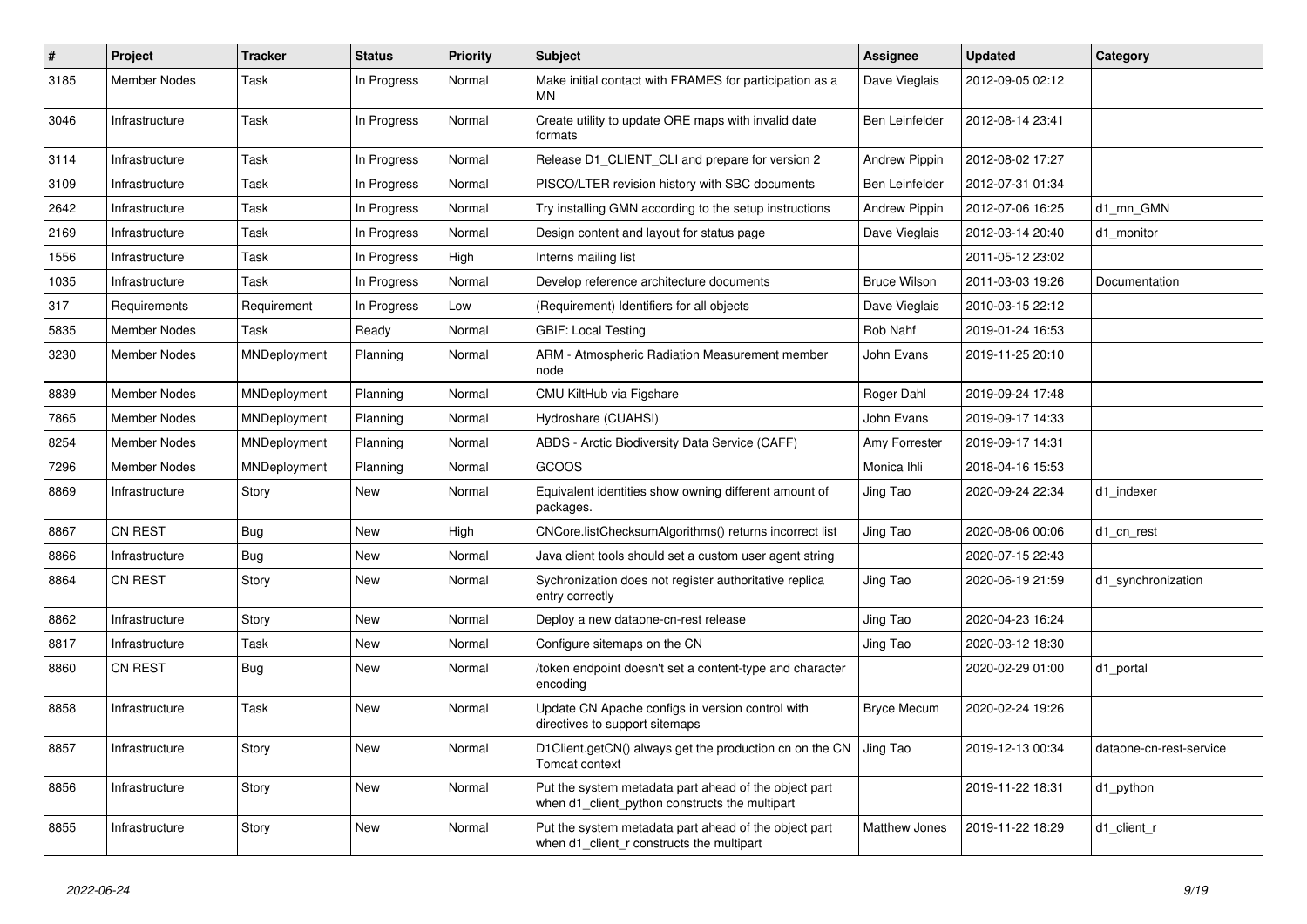| $\vert$ # | Project             | <b>Tracker</b> | <b>Status</b> | <b>Priority</b> | <b>Subject</b>                                                                                          | Assignee              | <b>Updated</b>   | Category                |
|-----------|---------------------|----------------|---------------|-----------------|---------------------------------------------------------------------------------------------------------|-----------------------|------------------|-------------------------|
| 3185      | Member Nodes        | Task           | In Progress   | Normal          | Make initial contact with FRAMES for participation as a<br>MN                                           | Dave Vieglais         | 2012-09-05 02:12 |                         |
| 3046      | Infrastructure      | Task           | In Progress   | Normal          | Create utility to update ORE maps with invalid date<br>formats                                          | <b>Ben Leinfelder</b> | 2012-08-14 23:41 |                         |
| 3114      | Infrastructure      | Task           | In Progress   | Normal          | Release D1_CLIENT_CLI and prepare for version 2                                                         | <b>Andrew Pippin</b>  | 2012-08-02 17:27 |                         |
| 3109      | Infrastructure      | Task           | In Progress   | Normal          | PISCO/LTER revision history with SBC documents                                                          | <b>Ben Leinfelder</b> | 2012-07-31 01:34 |                         |
| 2642      | Infrastructure      | Task           | In Progress   | Normal          | Try installing GMN according to the setup instructions                                                  | <b>Andrew Pippin</b>  | 2012-07-06 16:25 | d1 mn GMN               |
| 2169      | Infrastructure      | Task           | In Progress   | Normal          | Design content and layout for status page                                                               | Dave Vieglais         | 2012-03-14 20:40 | d1 monitor              |
| 1556      | Infrastructure      | Task           | In Progress   | High            | Interns mailing list                                                                                    |                       | 2011-05-12 23:02 |                         |
| 1035      | Infrastructure      | Task           | In Progress   | Normal          | Develop reference architecture documents                                                                | <b>Bruce Wilson</b>   | 2011-03-03 19:26 | Documentation           |
| 317       | Requirements        | Requirement    | In Progress   | Low             | (Requirement) Identifiers for all objects                                                               | Dave Vieglais         | 2010-03-15 22:12 |                         |
| 5835      | <b>Member Nodes</b> | Task           | Ready         | Normal          | <b>GBIF: Local Testing</b>                                                                              | Rob Nahf              | 2019-01-24 16:53 |                         |
| 3230      | Member Nodes        | MNDeployment   | Planning      | Normal          | ARM - Atmospheric Radiation Measurement member<br>node                                                  | John Evans            | 2019-11-25 20:10 |                         |
| 8839      | Member Nodes        | MNDeployment   | Planning      | Normal          | CMU KiltHub via Figshare                                                                                | Roger Dahl            | 2019-09-24 17:48 |                         |
| 7865      | <b>Member Nodes</b> | MNDeployment   | Planning      | Normal          | Hydroshare (CUAHSI)                                                                                     | John Evans            | 2019-09-17 14:33 |                         |
| 8254      | Member Nodes        | MNDeployment   | Planning      | Normal          | ABDS - Arctic Biodiversity Data Service (CAFF)                                                          | Amy Forrester         | 2019-09-17 14:31 |                         |
| 7296      | <b>Member Nodes</b> | MNDeployment   | Planning      | Normal          | GCOOS                                                                                                   | Monica Ihli           | 2018-04-16 15:53 |                         |
| 8869      | Infrastructure      | Story          | New           | Normal          | Equivalent identities show owning different amount of<br>packages.                                      | Jing Tao              | 2020-09-24 22:34 | d1 indexer              |
| 8867      | <b>CN REST</b>      | Bug            | <b>New</b>    | High            | CNCore.listChecksumAlgorithms() returns incorrect list                                                  | Jing Tao              | 2020-08-06 00:06 | d1_cn_rest              |
| 8866      | Infrastructure      | <b>Bug</b>     | <b>New</b>    | Normal          | Java client tools should set a custom user agent string                                                 |                       | 2020-07-15 22:43 |                         |
| 8864      | <b>CN REST</b>      | Story          | <b>New</b>    | Normal          | Sychronization does not register authoritative replica<br>entry correctly                               | Jing Tao              | 2020-06-19 21:59 | d1 synchronization      |
| 8862      | Infrastructure      | Story          | New           | Normal          | Deploy a new dataone-cn-rest release                                                                    | Jing Tao              | 2020-04-23 16:24 |                         |
| 8817      | Infrastructure      | Task           | New           | Normal          | Configure sitemaps on the CN                                                                            | Jing Tao              | 2020-03-12 18:30 |                         |
| 8860      | CN REST             | <b>Bug</b>     | New           | Normal          | /token endpoint doesn't set a content-type and character<br>encoding                                    |                       | 2020-02-29 01:00 | d1 portal               |
| 8858      | Infrastructure      | Task           | New           | Normal          | Update CN Apache configs in version control with<br>directives to support sitemaps                      | <b>Bryce Mecum</b>    | 2020-02-24 19:26 |                         |
| 8857      | Infrastructure      | Story          | <b>New</b>    | Normal          | D1Client.getCN() always get the production cn on the CN<br>Tomcat context                               | Jing Tao              | 2019-12-13 00:34 | dataone-cn-rest-service |
| 8856      | Infrastructure      | Story          | New           | Normal          | Put the system metadata part ahead of the object part<br>when d1_client_python constructs the multipart |                       | 2019-11-22 18:31 | d1_python               |
| 8855      | Infrastructure      | Story          | New           | Normal          | Put the system metadata part ahead of the object part<br>when d1 client r constructs the multipart      | <b>Matthew Jones</b>  | 2019-11-22 18:29 | d1_client_r             |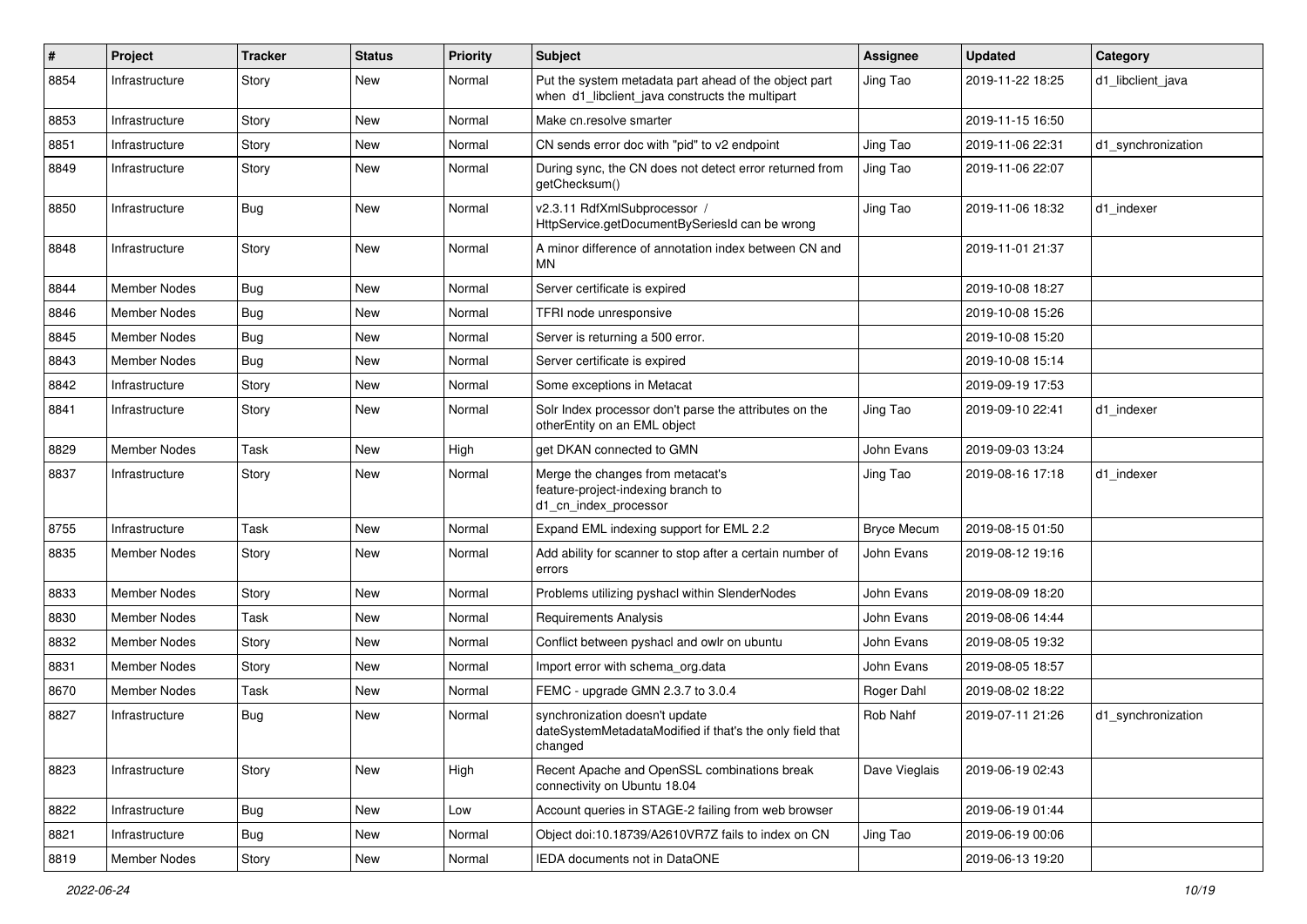| #    | Project             | <b>Tracker</b> | <b>Status</b> | <b>Priority</b> | Subject                                                                                                  | <b>Assignee</b>    | <b>Updated</b>   | Category           |
|------|---------------------|----------------|---------------|-----------------|----------------------------------------------------------------------------------------------------------|--------------------|------------------|--------------------|
| 8854 | Infrastructure      | Story          | New           | Normal          | Put the system metadata part ahead of the object part<br>when d1_libclient_java constructs the multipart | Jing Tao           | 2019-11-22 18:25 | d1 libclient java  |
| 8853 | Infrastructure      | Story          | New           | Normal          | Make cn.resolve smarter                                                                                  |                    | 2019-11-15 16:50 |                    |
| 8851 | Infrastructure      | Story          | New           | Normal          | CN sends error doc with "pid" to v2 endpoint                                                             | Jing Tao           | 2019-11-06 22:31 | d1_synchronization |
| 8849 | Infrastructure      | Story          | New           | Normal          | During sync, the CN does not detect error returned from<br>getChecksum()                                 | Jing Tao           | 2019-11-06 22:07 |                    |
| 8850 | Infrastructure      | <b>Bug</b>     | New           | Normal          | v2.3.11 RdfXmlSubprocessor /<br>HttpService.getDocumentBySeriesId can be wrong                           | Jing Tao           | 2019-11-06 18:32 | d1_indexer         |
| 8848 | Infrastructure      | Story          | <b>New</b>    | Normal          | A minor difference of annotation index between CN and<br>ΜN                                              |                    | 2019-11-01 21:37 |                    |
| 8844 | Member Nodes        | Bug            | New           | Normal          | Server certificate is expired                                                                            |                    | 2019-10-08 18:27 |                    |
| 8846 | Member Nodes        | <b>Bug</b>     | New           | Normal          | TFRI node unresponsive                                                                                   |                    | 2019-10-08 15:26 |                    |
| 8845 | Member Nodes        | <b>Bug</b>     | <b>New</b>    | Normal          | Server is returning a 500 error.                                                                         |                    | 2019-10-08 15:20 |                    |
| 8843 | Member Nodes        | <b>Bug</b>     | New           | Normal          | Server certificate is expired                                                                            |                    | 2019-10-08 15:14 |                    |
| 8842 | Infrastructure      | Story          | New           | Normal          | Some exceptions in Metacat                                                                               |                    | 2019-09-19 17:53 |                    |
| 8841 | Infrastructure      | Story          | New           | Normal          | Solr Index processor don't parse the attributes on the<br>otherEntity on an EML object                   | Jing Tao           | 2019-09-10 22:41 | d1 indexer         |
| 8829 | <b>Member Nodes</b> | Task           | New           | High            | get DKAN connected to GMN                                                                                | John Evans         | 2019-09-03 13:24 |                    |
| 8837 | Infrastructure      | Story          | <b>New</b>    | Normal          | Merge the changes from metacat's<br>feature-project-indexing branch to<br>d1_cn_index_processor          | Jing Tao           | 2019-08-16 17:18 | d1 indexer         |
| 8755 | Infrastructure      | Task           | New           | Normal          | Expand EML indexing support for EML 2.2                                                                  | <b>Bryce Mecum</b> | 2019-08-15 01:50 |                    |
| 8835 | Member Nodes        | Story          | New           | Normal          | Add ability for scanner to stop after a certain number of<br>errors                                      | John Evans         | 2019-08-12 19:16 |                    |
| 8833 | <b>Member Nodes</b> | Story          | New           | Normal          | Problems utilizing pyshacl within SlenderNodes                                                           | John Evans         | 2019-08-09 18:20 |                    |
| 8830 | Member Nodes        | Task           | New           | Normal          | <b>Requirements Analysis</b>                                                                             | John Evans         | 2019-08-06 14:44 |                    |
| 8832 | Member Nodes        | Story          | New           | Normal          | Conflict between pyshacl and owlr on ubuntu                                                              | John Evans         | 2019-08-05 19:32 |                    |
| 8831 | Member Nodes        | Story          | New           | Normal          | Import error with schema org.data                                                                        | John Evans         | 2019-08-05 18:57 |                    |
| 8670 | <b>Member Nodes</b> | Task           | New           | Normal          | FEMC - upgrade GMN 2.3.7 to 3.0.4                                                                        | Roger Dahl         | 2019-08-02 18:22 |                    |
| 8827 | Infrastructure      | <b>Bug</b>     | <b>New</b>    | Normal          | synchronization doesn't update<br>dateSystemMetadataModified if that's the only field that<br>changed    | Rob Nahf           | 2019-07-11 21:26 | d1_synchronization |
| 8823 | Infrastructure      | Story          | New           | High            | Recent Apache and OpenSSL combinations break<br>connectivity on Ubuntu 18.04                             | Dave Vieglais      | 2019-06-19 02:43 |                    |
| 8822 | Infrastructure      | <b>Bug</b>     | New           | Low             | Account queries in STAGE-2 failing from web browser                                                      |                    | 2019-06-19 01:44 |                    |
| 8821 | Infrastructure      | <b>Bug</b>     | New           | Normal          | Object doi:10.18739/A2610VR7Z fails to index on CN                                                       | Jing Tao           | 2019-06-19 00:06 |                    |
| 8819 | Member Nodes        | Story          | New           | Normal          | IEDA documents not in DataONE                                                                            |                    | 2019-06-13 19:20 |                    |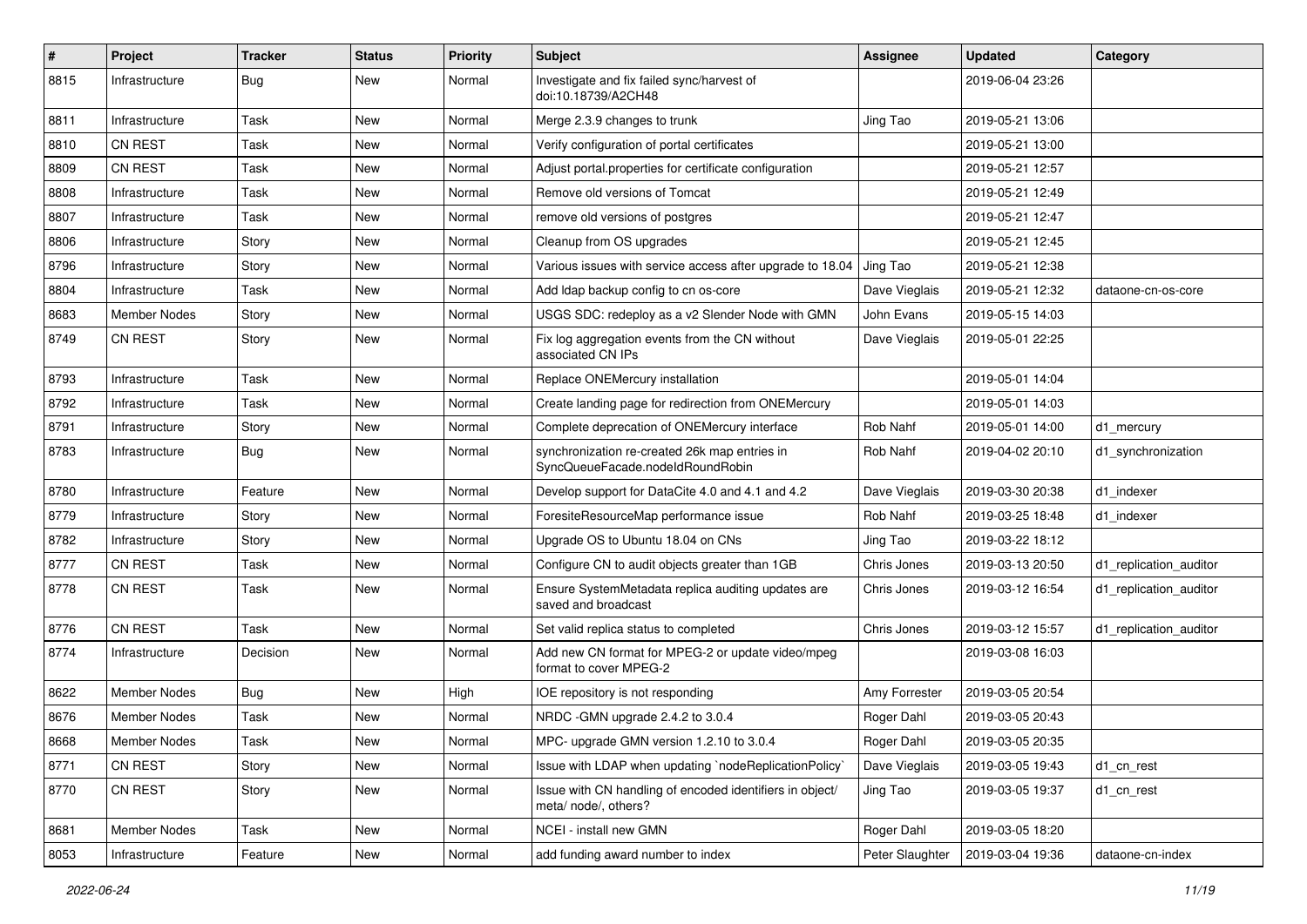| #    | Project             | <b>Tracker</b> | <b>Status</b> | <b>Priority</b> | <b>Subject</b>                                                                    | <b>Assignee</b> | <b>Updated</b>   | Category               |
|------|---------------------|----------------|---------------|-----------------|-----------------------------------------------------------------------------------|-----------------|------------------|------------------------|
| 8815 | Infrastructure      | <b>Bug</b>     | <b>New</b>    | Normal          | Investigate and fix failed sync/harvest of<br>doi:10.18739/A2CH48                 |                 | 2019-06-04 23:26 |                        |
| 8811 | Infrastructure      | Task           | New           | Normal          | Merge 2.3.9 changes to trunk                                                      | Jing Tao        | 2019-05-21 13:06 |                        |
| 8810 | <b>CN REST</b>      | Task           | New           | Normal          | Verify configuration of portal certificates                                       |                 | 2019-05-21 13:00 |                        |
| 8809 | <b>CN REST</b>      | Task           | New           | Normal          | Adjust portal properties for certificate configuration                            |                 | 2019-05-21 12:57 |                        |
| 8808 | Infrastructure      | Task           | New           | Normal          | Remove old versions of Tomcat                                                     |                 | 2019-05-21 12:49 |                        |
| 8807 | Infrastructure      | Task           | <b>New</b>    | Normal          | remove old versions of postgres                                                   |                 | 2019-05-21 12:47 |                        |
| 8806 | Infrastructure      | Story          | New           | Normal          | Cleanup from OS upgrades                                                          |                 | 2019-05-21 12:45 |                        |
| 8796 | Infrastructure      | Story          | <b>New</b>    | Normal          | Various issues with service access after upgrade to 18.04                         | Jing Tao        | 2019-05-21 12:38 |                        |
| 8804 | Infrastructure      | Task           | New           | Normal          | Add Idap backup config to cn os-core                                              | Dave Vieglais   | 2019-05-21 12:32 | dataone-cn-os-core     |
| 8683 | Member Nodes        | Story          | New           | Normal          | USGS SDC: redeploy as a v2 Slender Node with GMN                                  | John Evans      | 2019-05-15 14:03 |                        |
| 8749 | <b>CN REST</b>      | Story          | New           | Normal          | Fix log aggregation events from the CN without<br>associated CN IPs               | Dave Vieglais   | 2019-05-01 22:25 |                        |
| 8793 | Infrastructure      | Task           | <b>New</b>    | Normal          | Replace ONEMercury installation                                                   |                 | 2019-05-01 14:04 |                        |
| 8792 | Infrastructure      | Task           | <b>New</b>    | Normal          | Create landing page for redirection from ONEMercury                               |                 | 2019-05-01 14:03 |                        |
| 8791 | Infrastructure      | Story          | New           | Normal          | Complete deprecation of ONEMercury interface                                      | Rob Nahf        | 2019-05-01 14:00 | d1_mercury             |
| 8783 | Infrastructure      | <b>Bug</b>     | New           | Normal          | synchronization re-created 26k map entries in<br>SyncQueueFacade.nodeIdRoundRobin | Rob Nahf        | 2019-04-02 20:10 | d1 synchronization     |
| 8780 | Infrastructure      | Feature        | New           | Normal          | Develop support for DataCite 4.0 and 4.1 and 4.2                                  | Dave Vieglais   | 2019-03-30 20:38 | d1 indexer             |
| 8779 | Infrastructure      | Story          | <b>New</b>    | Normal          | ForesiteResourceMap performance issue                                             | Rob Nahf        | 2019-03-25 18:48 | d1 indexer             |
| 8782 | Infrastructure      | Story          | New           | Normal          | Upgrade OS to Ubuntu 18.04 on CNs                                                 | Jing Tao        | 2019-03-22 18:12 |                        |
| 8777 | <b>CN REST</b>      | Task           | <b>New</b>    | Normal          | Configure CN to audit objects greater than 1GB                                    | Chris Jones     | 2019-03-13 20:50 | d1 replication auditor |
| 8778 | <b>CN REST</b>      | Task           | New           | Normal          | Ensure SystemMetadata replica auditing updates are<br>saved and broadcast         | Chris Jones     | 2019-03-12 16:54 | d1 replication auditor |
| 8776 | CN REST             | Task           | <b>New</b>    | Normal          | Set valid replica status to completed                                             | Chris Jones     | 2019-03-12 15:57 | d1 replication auditor |
| 8774 | Infrastructure      | Decision       | New           | Normal          | Add new CN format for MPEG-2 or update video/mpeg<br>format to cover MPEG-2       |                 | 2019-03-08 16:03 |                        |
| 8622 | <b>Member Nodes</b> | Bug            | <b>New</b>    | High            | IOE repository is not responding                                                  | Amy Forrester   | 2019-03-05 20:54 |                        |
| 8676 | Member Nodes        | Task           | New           | Normal          | NRDC -GMN upgrade 2.4.2 to 3.0.4                                                  | Roger Dahl      | 2019-03-05 20:43 |                        |
| 8668 | Member Nodes        | Task           | New           | Normal          | MPC- upgrade GMN version 1.2.10 to 3.0.4                                          | Roger Dahl      | 2019-03-05 20:35 |                        |
| 8771 | CN REST             | Story          | New           | Normal          | Issue with LDAP when updating `nodeReplicationPolicy`                             | Dave Vieglais   | 2019-03-05 19:43 | d1_cn_rest             |
| 8770 | CN REST             | Story          | New           | Normal          | Issue with CN handling of encoded identifiers in object/<br>meta/ node/, others?  | Jing Tao        | 2019-03-05 19:37 | d1_cn_rest             |
| 8681 | Member Nodes        | Task           | New           | Normal          | NCEI - install new GMN                                                            | Roger Dahl      | 2019-03-05 18:20 |                        |
| 8053 | Infrastructure      | Feature        | New           | Normal          | add funding award number to index                                                 | Peter Slaughter | 2019-03-04 19:36 | dataone-cn-index       |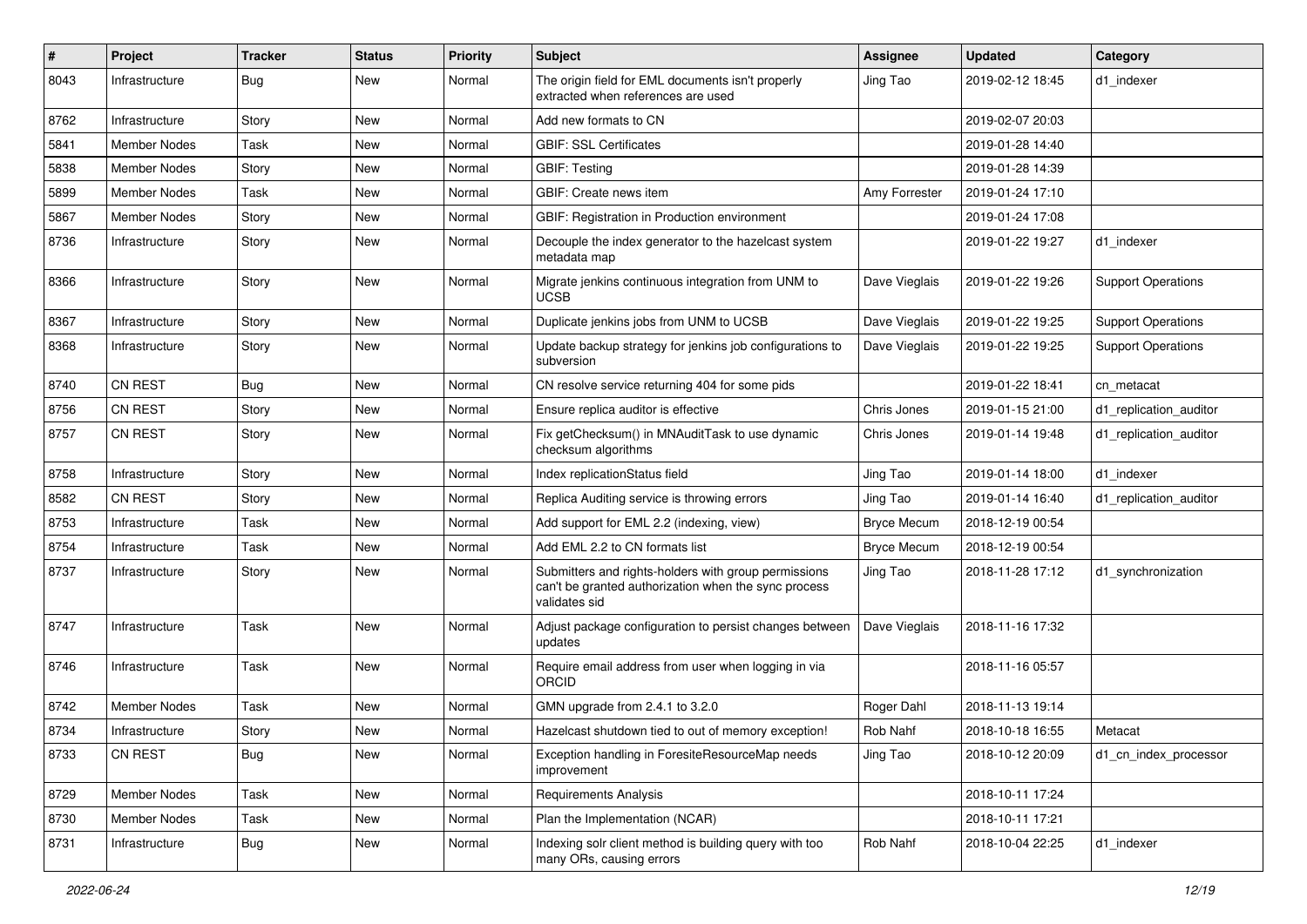| #    | Project             | <b>Tracker</b> | <b>Status</b> | <b>Priority</b> | Subject                                                                                                                       | <b>Assignee</b>    | <b>Updated</b>   | Category                  |
|------|---------------------|----------------|---------------|-----------------|-------------------------------------------------------------------------------------------------------------------------------|--------------------|------------------|---------------------------|
| 8043 | Infrastructure      | Bug            | New           | Normal          | The origin field for EML documents isn't properly<br>extracted when references are used                                       | Jing Tao           | 2019-02-12 18:45 | d1 indexer                |
| 8762 | Infrastructure      | Story          | New           | Normal          | Add new formats to CN                                                                                                         |                    | 2019-02-07 20:03 |                           |
| 5841 | <b>Member Nodes</b> | Task           | New           | Normal          | <b>GBIF: SSL Certificates</b>                                                                                                 |                    | 2019-01-28 14:40 |                           |
| 5838 | <b>Member Nodes</b> | Story          | <b>New</b>    | Normal          | <b>GBIF: Testing</b>                                                                                                          |                    | 2019-01-28 14:39 |                           |
| 5899 | Member Nodes        | Task           | New           | Normal          | GBIF: Create news item                                                                                                        | Amy Forrester      | 2019-01-24 17:10 |                           |
| 5867 | Member Nodes        | Story          | New           | Normal          | GBIF: Registration in Production environment                                                                                  |                    | 2019-01-24 17:08 |                           |
| 8736 | Infrastructure      | Story          | New           | Normal          | Decouple the index generator to the hazelcast system<br>metadata map                                                          |                    | 2019-01-22 19:27 | d1_indexer                |
| 8366 | Infrastructure      | Story          | New           | Normal          | Migrate jenkins continuous integration from UNM to<br><b>UCSB</b>                                                             | Dave Vieglais      | 2019-01-22 19:26 | <b>Support Operations</b> |
| 8367 | Infrastructure      | Story          | New           | Normal          | Duplicate jenkins jobs from UNM to UCSB                                                                                       | Dave Vieglais      | 2019-01-22 19:25 | <b>Support Operations</b> |
| 8368 | Infrastructure      | Story          | New           | Normal          | Update backup strategy for jenkins job configurations to<br>subversion                                                        | Dave Vieglais      | 2019-01-22 19:25 | <b>Support Operations</b> |
| 8740 | <b>CN REST</b>      | Bug            | New           | Normal          | CN resolve service returning 404 for some pids                                                                                |                    | 2019-01-22 18:41 | cn metacat                |
| 8756 | <b>CN REST</b>      | Story          | New           | Normal          | Ensure replica auditor is effective                                                                                           | Chris Jones        | 2019-01-15 21:00 | d1 replication auditor    |
| 8757 | <b>CN REST</b>      | Story          | New           | Normal          | Fix getChecksum() in MNAuditTask to use dynamic<br>checksum algorithms                                                        | Chris Jones        | 2019-01-14 19:48 | d1_replication_auditor    |
| 8758 | Infrastructure      | Story          | New           | Normal          | Index replicationStatus field                                                                                                 | Jing Tao           | 2019-01-14 18:00 | d1_indexer                |
| 8582 | <b>CN REST</b>      | Story          | New           | Normal          | Replica Auditing service is throwing errors                                                                                   | Jing Tao           | 2019-01-14 16:40 | d1 replication auditor    |
| 8753 | Infrastructure      | Task           | <b>New</b>    | Normal          | Add support for EML 2.2 (indexing, view)                                                                                      | <b>Bryce Mecum</b> | 2018-12-19 00:54 |                           |
| 8754 | Infrastructure      | Task           | New           | Normal          | Add EML 2.2 to CN formats list                                                                                                | <b>Bryce Mecum</b> | 2018-12-19 00:54 |                           |
| 8737 | Infrastructure      | Story          | New           | Normal          | Submitters and rights-holders with group permissions<br>can't be granted authorization when the sync process<br>validates sid | Jing Tao           | 2018-11-28 17:12 | d1 synchronization        |
| 8747 | Infrastructure      | Task           | New           | Normal          | Adjust package configuration to persist changes between<br>updates                                                            | Dave Vieglais      | 2018-11-16 17:32 |                           |
| 8746 | Infrastructure      | Task           | New           | Normal          | Require email address from user when logging in via<br>ORCID                                                                  |                    | 2018-11-16 05:57 |                           |
| 8742 | Member Nodes        | Task           | New           | Normal          | GMN upgrade from 2.4.1 to 3.2.0                                                                                               | Roger Dahl         | 2018-11-13 19:14 |                           |
| 8734 | Infrastructure      | Story          | New           | Normal          | Hazelcast shutdown tied to out of memory exception!                                                                           | Rob Nahf           | 2018-10-18 16:55 | Metacat                   |
| 8733 | CN REST             | <b>Bug</b>     | New           | Normal          | Exception handling in ForesiteResourceMap needs<br>improvement                                                                | Jing Tao           | 2018-10-12 20:09 | d1_cn_index_processor     |
| 8729 | Member Nodes        | Task           | New           | Normal          | <b>Requirements Analysis</b>                                                                                                  |                    | 2018-10-11 17:24 |                           |
| 8730 | Member Nodes        | Task           | New           | Normal          | Plan the Implementation (NCAR)                                                                                                |                    | 2018-10-11 17:21 |                           |
| 8731 | Infrastructure      | <b>Bug</b>     | New           | Normal          | Indexing solr client method is building query with too<br>many ORs, causing errors                                            | Rob Nahf           | 2018-10-04 22:25 | d1_indexer                |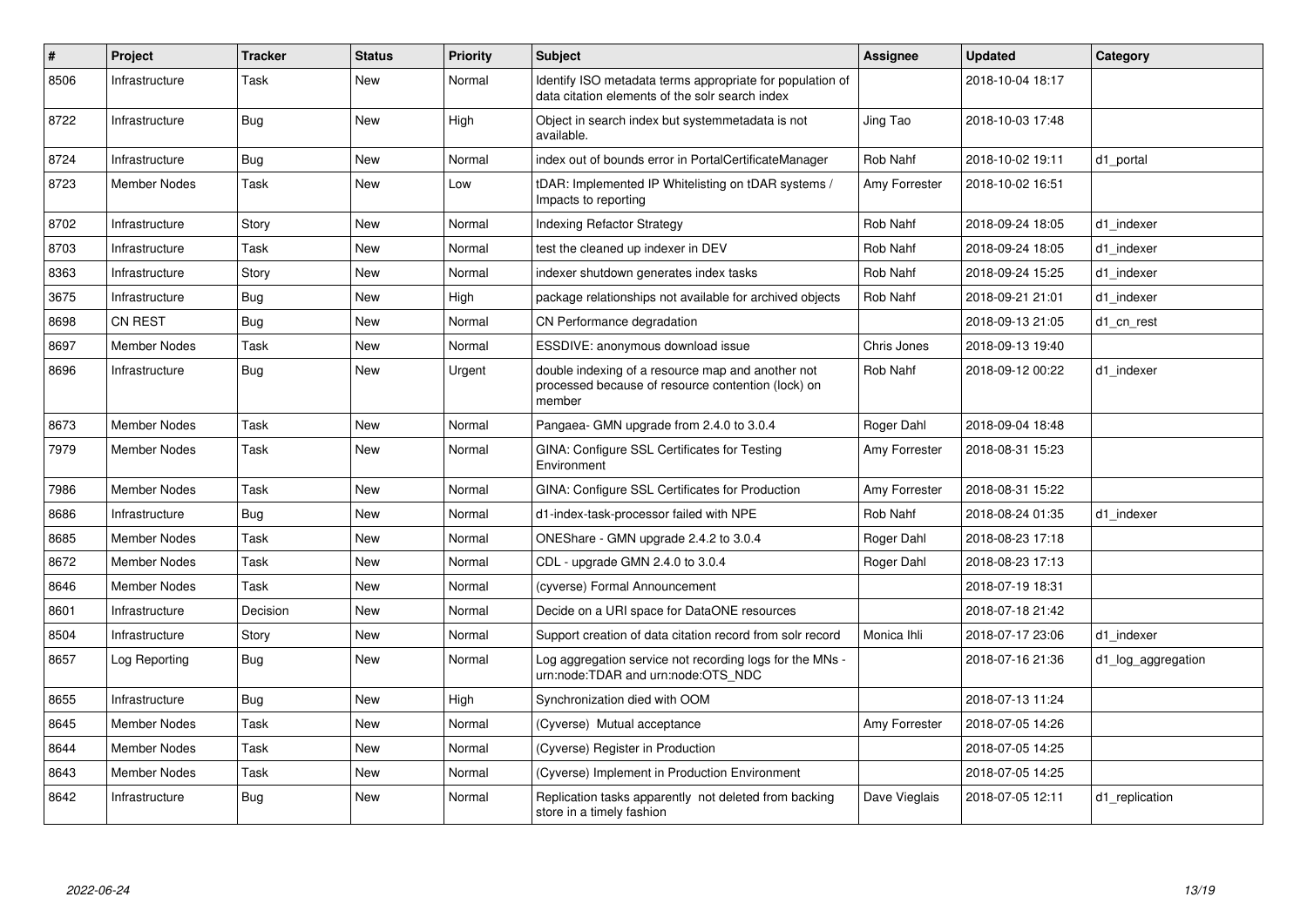| #    | Project             | <b>Tracker</b> | <b>Status</b> | <b>Priority</b> | <b>Subject</b>                                                                                                    | Assignee      | <b>Updated</b>   | Category           |
|------|---------------------|----------------|---------------|-----------------|-------------------------------------------------------------------------------------------------------------------|---------------|------------------|--------------------|
| 8506 | Infrastructure      | Task           | <b>New</b>    | Normal          | Identify ISO metadata terms appropriate for population of<br>data citation elements of the solr search index      |               | 2018-10-04 18:17 |                    |
| 8722 | Infrastructure      | <b>Bug</b>     | <b>New</b>    | High            | Object in search index but systemmetadata is not<br>available.                                                    | Jing Tao      | 2018-10-03 17:48 |                    |
| 8724 | Infrastructure      | <b>Bug</b>     | <b>New</b>    | Normal          | index out of bounds error in PortalCertificateManager                                                             | Rob Nahf      | 2018-10-02 19:11 | d1 portal          |
| 8723 | <b>Member Nodes</b> | Task           | <b>New</b>    | Low             | (DAR: Implemented IP Whitelisting on tDAR systems)<br>Impacts to reporting                                        | Amy Forrester | 2018-10-02 16:51 |                    |
| 8702 | Infrastructure      | Story          | <b>New</b>    | Normal          | <b>Indexing Refactor Strategy</b>                                                                                 | Rob Nahf      | 2018-09-24 18:05 | d1 indexer         |
| 8703 | Infrastructure      | Task           | <b>New</b>    | Normal          | test the cleaned up indexer in DEV                                                                                | Rob Nahf      | 2018-09-24 18:05 | d1 indexer         |
| 8363 | Infrastructure      | Story          | <b>New</b>    | Normal          | indexer shutdown generates index tasks                                                                            | Rob Nahf      | 2018-09-24 15:25 | d1 indexer         |
| 3675 | Infrastructure      | Bug            | <b>New</b>    | High            | package relationships not available for archived objects                                                          | Rob Nahf      | 2018-09-21 21:01 | d1 indexer         |
| 8698 | CN REST             | Bug            | <b>New</b>    | Normal          | CN Performance degradation                                                                                        |               | 2018-09-13 21:05 | d1 cn rest         |
| 8697 | <b>Member Nodes</b> | Task           | <b>New</b>    | Normal          | ESSDIVE: anonymous download issue                                                                                 | Chris Jones   | 2018-09-13 19:40 |                    |
| 8696 | Infrastructure      | <b>Bug</b>     | <b>New</b>    | Urgent          | double indexing of a resource map and another not<br>processed because of resource contention (lock) on<br>member | Rob Nahf      | 2018-09-12 00:22 | d1 indexer         |
| 8673 | <b>Member Nodes</b> | Task           | <b>New</b>    | Normal          | Pangaea- GMN upgrade from 2.4.0 to 3.0.4                                                                          | Roger Dahl    | 2018-09-04 18:48 |                    |
| 7979 | Member Nodes        | Task           | <b>New</b>    | Normal          | GINA: Configure SSL Certificates for Testing<br>Environment                                                       | Amy Forrester | 2018-08-31 15:23 |                    |
| 7986 | <b>Member Nodes</b> | Task           | <b>New</b>    | Normal          | GINA: Configure SSL Certificates for Production                                                                   | Amy Forrester | 2018-08-31 15:22 |                    |
| 8686 | Infrastructure      | <b>Bug</b>     | <b>New</b>    | Normal          | d1-index-task-processor failed with NPE                                                                           | Rob Nahf      | 2018-08-24 01:35 | d1 indexer         |
| 8685 | <b>Member Nodes</b> | Task           | New           | Normal          | ONEShare - GMN upgrade 2.4.2 to 3.0.4                                                                             | Roger Dahl    | 2018-08-23 17:18 |                    |
| 8672 | Member Nodes        | Task           | <b>New</b>    | Normal          | CDL - upgrade GMN 2.4.0 to 3.0.4                                                                                  | Roger Dahl    | 2018-08-23 17:13 |                    |
| 8646 | <b>Member Nodes</b> | Task           | <b>New</b>    | Normal          | (cyverse) Formal Announcement                                                                                     |               | 2018-07-19 18:31 |                    |
| 8601 | Infrastructure      | Decision       | <b>New</b>    | Normal          | Decide on a URI space for DataONE resources                                                                       |               | 2018-07-18 21:42 |                    |
| 8504 | Infrastructure      | Story          | <b>New</b>    | Normal          | Support creation of data citation record from solr record                                                         | Monica Ihli   | 2018-07-17 23:06 | d1 indexer         |
| 8657 | Log Reporting       | <b>Bug</b>     | <b>New</b>    | Normal          | Log aggregation service not recording logs for the MNs -<br>urn:node:TDAR and urn:node:OTS_NDC                    |               | 2018-07-16 21:36 | d1 log aggregation |
| 8655 | Infrastructure      | <b>Bug</b>     | <b>New</b>    | High            | Synchronization died with OOM                                                                                     |               | 2018-07-13 11:24 |                    |
| 8645 | <b>Member Nodes</b> | Task           | <b>New</b>    | Normal          | (Cyverse) Mutual acceptance                                                                                       | Amy Forrester | 2018-07-05 14:26 |                    |
| 8644 | <b>Member Nodes</b> | Task           | <b>New</b>    | Normal          | (Cyverse) Register in Production                                                                                  |               | 2018-07-05 14:25 |                    |
| 8643 | <b>Member Nodes</b> | Task           | <b>New</b>    | Normal          | (Cyverse) Implement in Production Environment                                                                     |               | 2018-07-05 14:25 |                    |
| 8642 | Infrastructure      | Bug            | <b>New</b>    | Normal          | Replication tasks apparently not deleted from backing<br>store in a timely fashion                                | Dave Vieglais | 2018-07-05 12:11 | d1 replication     |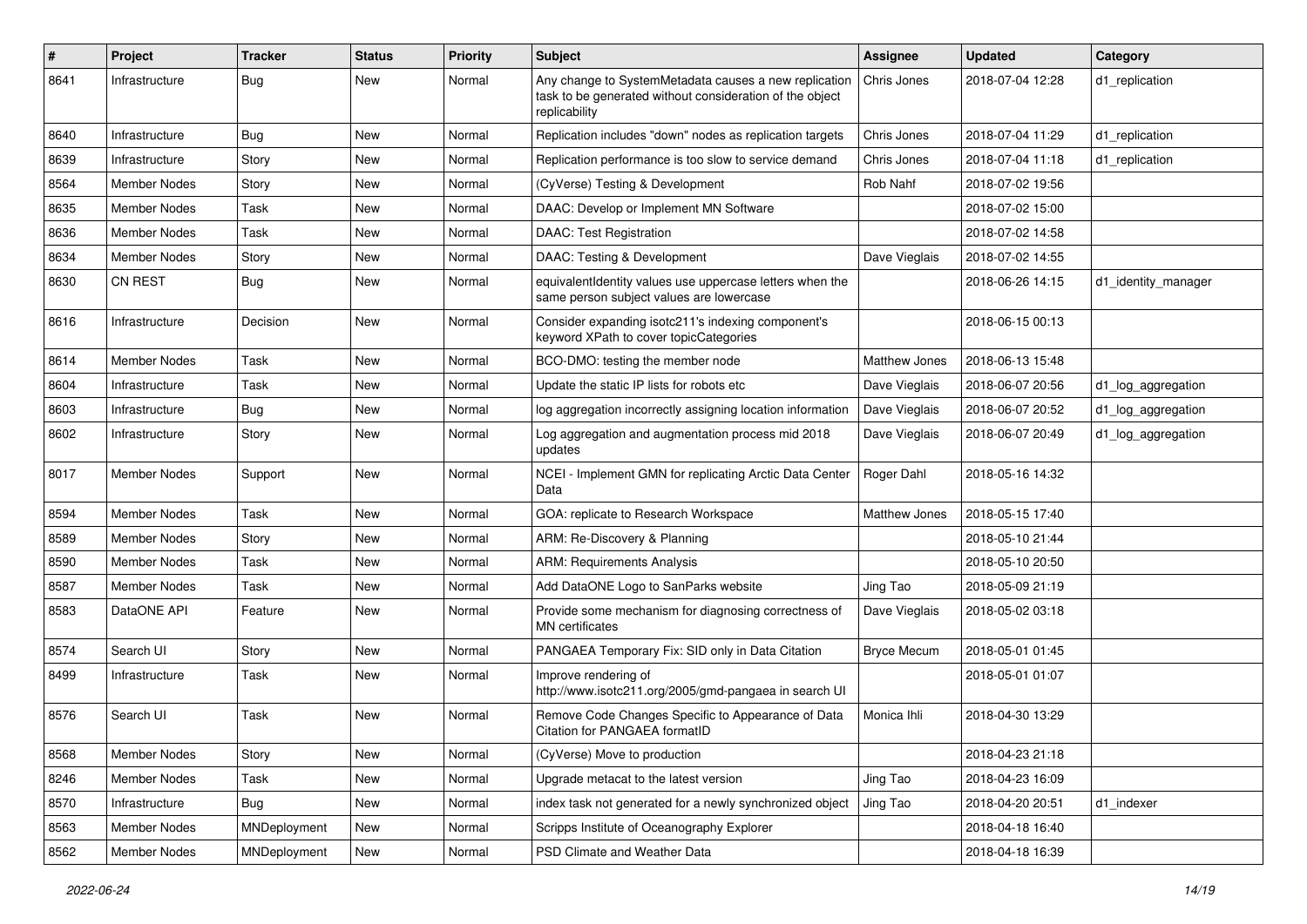| $\pmb{\#}$ | Project             | <b>Tracker</b> | <b>Status</b> | <b>Priority</b> | <b>Subject</b>                                                                                                                     | <b>Assignee</b>    | <b>Updated</b>   | Category            |
|------------|---------------------|----------------|---------------|-----------------|------------------------------------------------------------------------------------------------------------------------------------|--------------------|------------------|---------------------|
| 8641       | Infrastructure      | Bug            | New           | Normal          | Any change to SystemMetadata causes a new replication<br>task to be generated without consideration of the object<br>replicability | Chris Jones        | 2018-07-04 12:28 | d1 replication      |
| 8640       | Infrastructure      | Bug            | New           | Normal          | Replication includes "down" nodes as replication targets                                                                           | Chris Jones        | 2018-07-04 11:29 | d1_replication      |
| 8639       | Infrastructure      | Story          | New           | Normal          | Replication performance is too slow to service demand                                                                              | Chris Jones        | 2018-07-04 11:18 | d1_replication      |
| 8564       | Member Nodes        | Story          | New           | Normal          | (CyVerse) Testing & Development                                                                                                    | Rob Nahf           | 2018-07-02 19:56 |                     |
| 8635       | Member Nodes        | Task           | New           | Normal          | DAAC: Develop or Implement MN Software                                                                                             |                    | 2018-07-02 15:00 |                     |
| 8636       | Member Nodes        | Task           | New           | Normal          | <b>DAAC: Test Registration</b>                                                                                                     |                    | 2018-07-02 14:58 |                     |
| 8634       | <b>Member Nodes</b> | Story          | New           | Normal          | DAAC: Testing & Development                                                                                                        | Dave Vieglais      | 2018-07-02 14:55 |                     |
| 8630       | <b>CN REST</b>      | <b>Bug</b>     | New           | Normal          | equivalentIdentity values use uppercase letters when the<br>same person subject values are lowercase                               |                    | 2018-06-26 14:15 | d1_identity_manager |
| 8616       | Infrastructure      | Decision       | New           | Normal          | Consider expanding isotc211's indexing component's<br>keyword XPath to cover topicCategories                                       |                    | 2018-06-15 00:13 |                     |
| 8614       | <b>Member Nodes</b> | Task           | New           | Normal          | BCO-DMO: testing the member node                                                                                                   | Matthew Jones      | 2018-06-13 15:48 |                     |
| 8604       | Infrastructure      | Task           | New           | Normal          | Update the static IP lists for robots etc                                                                                          | Dave Vieglais      | 2018-06-07 20:56 | d1_log_aggregation  |
| 8603       | Infrastructure      | Bug            | New           | Normal          | log aggregation incorrectly assigning location information                                                                         | Dave Vieglais      | 2018-06-07 20:52 | d1_log_aggregation  |
| 8602       | Infrastructure      | Story          | New           | Normal          | Log aggregation and augmentation process mid 2018<br>updates                                                                       | Dave Vieglais      | 2018-06-07 20:49 | d1_log_aggregation  |
| 8017       | Member Nodes        | Support        | New           | Normal          | NCEI - Implement GMN for replicating Arctic Data Center<br>Data                                                                    | Roger Dahl         | 2018-05-16 14:32 |                     |
| 8594       | Member Nodes        | Task           | New           | Normal          | GOA: replicate to Research Workspace                                                                                               | Matthew Jones      | 2018-05-15 17:40 |                     |
| 8589       | Member Nodes        | Story          | New           | Normal          | ARM: Re-Discovery & Planning                                                                                                       |                    | 2018-05-10 21:44 |                     |
| 8590       | Member Nodes        | Task           | New           | Normal          | <b>ARM: Requirements Analysis</b>                                                                                                  |                    | 2018-05-10 20:50 |                     |
| 8587       | Member Nodes        | Task           | New           | Normal          | Add DataONE Logo to SanParks website                                                                                               | Jing Tao           | 2018-05-09 21:19 |                     |
| 8583       | DataONE API         | Feature        | New           | Normal          | Provide some mechanism for diagnosing correctness of<br><b>MN</b> certificates                                                     | Dave Vieglais      | 2018-05-02 03:18 |                     |
| 8574       | Search UI           | Story          | New           | Normal          | PANGAEA Temporary Fix: SID only in Data Citation                                                                                   | <b>Bryce Mecum</b> | 2018-05-01 01:45 |                     |
| 8499       | Infrastructure      | Task           | New           | Normal          | Improve rendering of<br>http://www.isotc211.org/2005/gmd-pangaea in search UI                                                      |                    | 2018-05-01 01:07 |                     |
| 8576       | Search UI           | Task           | New           | Normal          | Remove Code Changes Specific to Appearance of Data<br>Citation for PANGAEA formatID                                                | Monica Ihli        | 2018-04-30 13:29 |                     |
| 8568       | Member Nodes        | Story          | New           | Normal          | (CyVerse) Move to production                                                                                                       |                    | 2018-04-23 21:18 |                     |
| 8246       | Member Nodes        | Task           | New           | Normal          | Upgrade metacat to the latest version                                                                                              | Jing Tao           | 2018-04-23 16:09 |                     |
| 8570       | Infrastructure      | <b>Bug</b>     | New           | Normal          | index task not generated for a newly synchronized object                                                                           | Jing Tao           | 2018-04-20 20:51 | d1_indexer          |
| 8563       | <b>Member Nodes</b> | MNDeployment   | New           | Normal          | Scripps Institute of Oceanography Explorer                                                                                         |                    | 2018-04-18 16:40 |                     |
| 8562       | Member Nodes        | MNDeployment   | New           | Normal          | PSD Climate and Weather Data                                                                                                       |                    | 2018-04-18 16:39 |                     |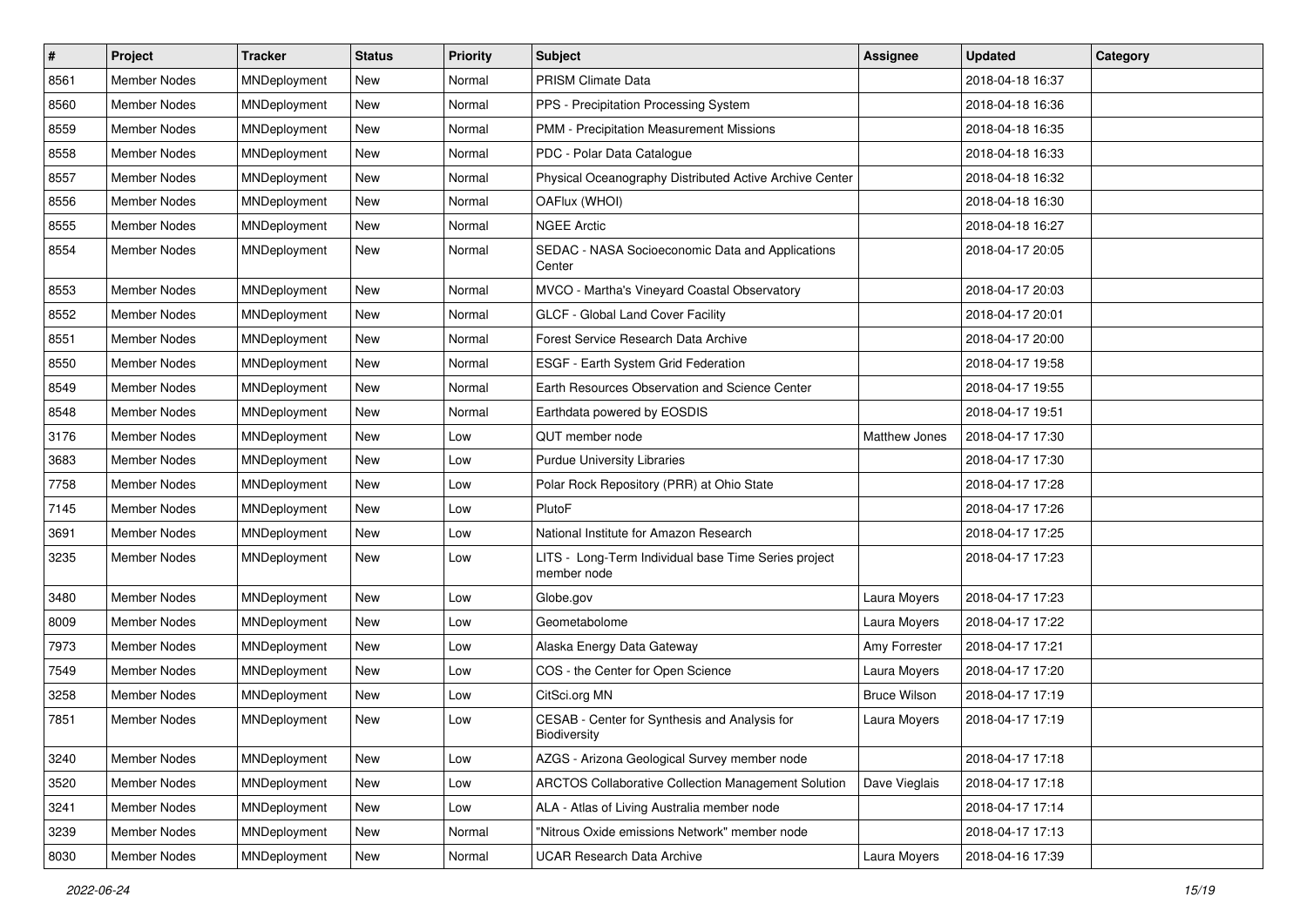| $\sharp$ | Project             | <b>Tracker</b> | <b>Status</b> | <b>Priority</b> | Subject                                                             | <b>Assignee</b>     | <b>Updated</b>   | Category |
|----------|---------------------|----------------|---------------|-----------------|---------------------------------------------------------------------|---------------------|------------------|----------|
| 8561     | <b>Member Nodes</b> | MNDeployment   | New           | Normal          | PRISM Climate Data                                                  |                     | 2018-04-18 16:37 |          |
| 8560     | <b>Member Nodes</b> | MNDeployment   | New           | Normal          | PPS - Precipitation Processing System                               |                     | 2018-04-18 16:36 |          |
| 8559     | <b>Member Nodes</b> | MNDeployment   | New           | Normal          | PMM - Precipitation Measurement Missions                            |                     | 2018-04-18 16:35 |          |
| 8558     | Member Nodes        | MNDeployment   | New           | Normal          | PDC - Polar Data Catalogue                                          |                     | 2018-04-18 16:33 |          |
| 8557     | <b>Member Nodes</b> | MNDeployment   | New           | Normal          | Physical Oceanography Distributed Active Archive Center             |                     | 2018-04-18 16:32 |          |
| 8556     | Member Nodes        | MNDeployment   | New           | Normal          | OAFlux (WHOI)                                                       |                     | 2018-04-18 16:30 |          |
| 8555     | Member Nodes        | MNDeployment   | New           | Normal          | <b>NGEE Arctic</b>                                                  |                     | 2018-04-18 16:27 |          |
| 8554     | Member Nodes        | MNDeployment   | New           | Normal          | SEDAC - NASA Socioeconomic Data and Applications<br>Center          |                     | 2018-04-17 20:05 |          |
| 8553     | <b>Member Nodes</b> | MNDeployment   | New           | Normal          | MVCO - Martha's Vineyard Coastal Observatory                        |                     | 2018-04-17 20:03 |          |
| 8552     | Member Nodes        | MNDeployment   | New           | Normal          | GLCF - Global Land Cover Facility                                   |                     | 2018-04-17 20:01 |          |
| 8551     | Member Nodes        | MNDeployment   | <b>New</b>    | Normal          | Forest Service Research Data Archive                                |                     | 2018-04-17 20:00 |          |
| 8550     | Member Nodes        | MNDeployment   | New           | Normal          | ESGF - Earth System Grid Federation                                 |                     | 2018-04-17 19:58 |          |
| 8549     | <b>Member Nodes</b> | MNDeployment   | New           | Normal          | Earth Resources Observation and Science Center                      |                     | 2018-04-17 19:55 |          |
| 8548     | <b>Member Nodes</b> | MNDeployment   | New           | Normal          | Earthdata powered by EOSDIS                                         |                     | 2018-04-17 19:51 |          |
| 3176     | <b>Member Nodes</b> | MNDeployment   | New           | Low             | QUT member node                                                     | Matthew Jones       | 2018-04-17 17:30 |          |
| 3683     | Member Nodes        | MNDeployment   | New           | Low             | <b>Purdue University Libraries</b>                                  |                     | 2018-04-17 17:30 |          |
| 7758     | <b>Member Nodes</b> | MNDeployment   | New           | Low             | Polar Rock Repository (PRR) at Ohio State                           |                     | 2018-04-17 17:28 |          |
| 7145     | Member Nodes        | MNDeployment   | New           | Low             | PlutoF                                                              |                     | 2018-04-17 17:26 |          |
| 3691     | Member Nodes        | MNDeployment   | New           | Low             | National Institute for Amazon Research                              |                     | 2018-04-17 17:25 |          |
| 3235     | Member Nodes        | MNDeployment   | New           | Low             | LITS - Long-Term Individual base Time Series project<br>member node |                     | 2018-04-17 17:23 |          |
| 3480     | <b>Member Nodes</b> | MNDeployment   | New           | Low             | Globe.gov                                                           | Laura Moyers        | 2018-04-17 17:23 |          |
| 8009     | Member Nodes        | MNDeployment   | New           | Low             | Geometabolome                                                       | Laura Moyers        | 2018-04-17 17:22 |          |
| 7973     | Member Nodes        | MNDeployment   | New           | Low             | Alaska Energy Data Gateway                                          | Amy Forrester       | 2018-04-17 17:21 |          |
| 7549     | <b>Member Nodes</b> | MNDeployment   | New           | Low             | COS - the Center for Open Science                                   | Laura Moyers        | 2018-04-17 17:20 |          |
| 3258     | <b>Member Nodes</b> | MNDeployment   | New           | Low             | CitSci.org MN                                                       | <b>Bruce Wilson</b> | 2018-04-17 17:19 |          |
| 7851     | Member Nodes        | MNDeployment   | New           | Low             | CESAB - Center for Synthesis and Analysis for<br>Biodiversity       | Laura Moyers        | 2018-04-17 17:19 |          |
| 3240     | Member Nodes        | MNDeployment   | New           | Low             | AZGS - Arizona Geological Survey member node                        |                     | 2018-04-17 17:18 |          |
| 3520     | Member Nodes        | MNDeployment   | New           | Low             | <b>ARCTOS Collaborative Collection Management Solution</b>          | Dave Vieglais       | 2018-04-17 17:18 |          |
| 3241     | Member Nodes        | MNDeployment   | New           | Low             | ALA - Atlas of Living Australia member node                         |                     | 2018-04-17 17:14 |          |
| 3239     | Member Nodes        | MNDeployment   | New           | Normal          | "Nitrous Oxide emissions Network" member node                       |                     | 2018-04-17 17:13 |          |
| 8030     | <b>Member Nodes</b> | MNDeployment   | New           | Normal          | <b>UCAR Research Data Archive</b>                                   | Laura Moyers        | 2018-04-16 17:39 |          |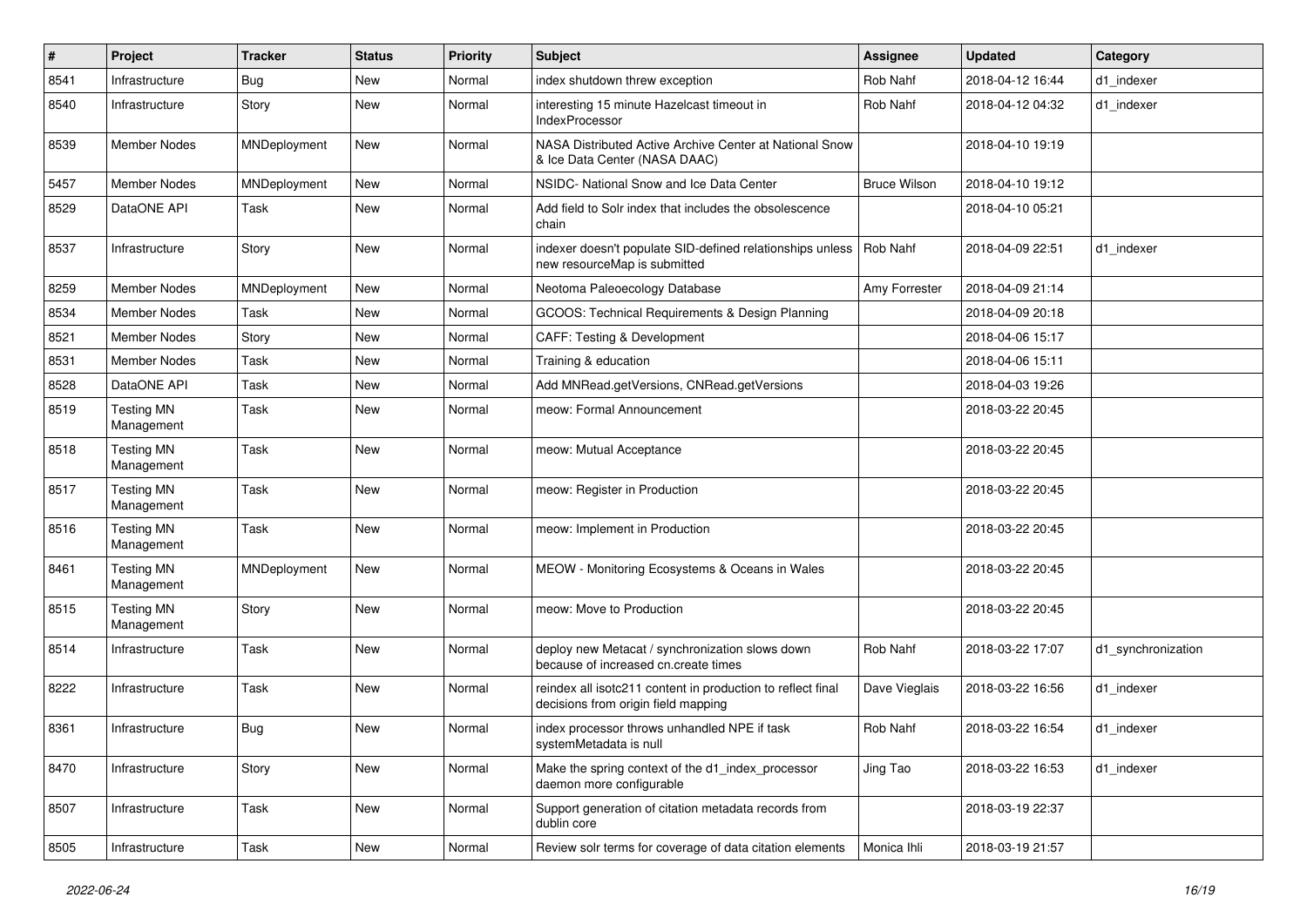| $\pmb{\#}$ | Project                         | <b>Tracker</b> | <b>Status</b> | <b>Priority</b> | <b>Subject</b>                                                                                     | <b>Assignee</b>     | <b>Updated</b>   | Category           |
|------------|---------------------------------|----------------|---------------|-----------------|----------------------------------------------------------------------------------------------------|---------------------|------------------|--------------------|
| 8541       | Infrastructure                  | <b>Bug</b>     | <b>New</b>    | Normal          | index shutdown threw exception                                                                     | Rob Nahf            | 2018-04-12 16:44 | d1 indexer         |
| 8540       | Infrastructure                  | Story          | <b>New</b>    | Normal          | interesting 15 minute Hazelcast timeout in<br><b>IndexProcessor</b>                                | Rob Nahf            | 2018-04-12 04:32 | d1_indexer         |
| 8539       | Member Nodes                    | MNDeployment   | <b>New</b>    | Normal          | NASA Distributed Active Archive Center at National Snow<br>& Ice Data Center (NASA DAAC)           |                     | 2018-04-10 19:19 |                    |
| 5457       | <b>Member Nodes</b>             | MNDeployment   | <b>New</b>    | Normal          | NSIDC- National Snow and Ice Data Center                                                           | <b>Bruce Wilson</b> | 2018-04-10 19:12 |                    |
| 8529       | DataONE API                     | Task           | <b>New</b>    | Normal          | Add field to Solr index that includes the obsolescence<br>chain                                    |                     | 2018-04-10 05:21 |                    |
| 8537       | Infrastructure                  | Story          | <b>New</b>    | Normal          | indexer doesn't populate SID-defined relationships unless<br>new resourceMap is submitted          | Rob Nahf            | 2018-04-09 22:51 | d1 indexer         |
| 8259       | Member Nodes                    | MNDeployment   | New           | Normal          | Neotoma Paleoecology Database                                                                      | Amy Forrester       | 2018-04-09 21:14 |                    |
| 8534       | Member Nodes                    | Task           | <b>New</b>    | Normal          | GCOOS: Technical Requirements & Design Planning                                                    |                     | 2018-04-09 20:18 |                    |
| 8521       | <b>Member Nodes</b>             | Story          | <b>New</b>    | Normal          | CAFF: Testing & Development                                                                        |                     | 2018-04-06 15:17 |                    |
| 8531       | Member Nodes                    | Task           | <b>New</b>    | Normal          | Training & education                                                                               |                     | 2018-04-06 15:11 |                    |
| 8528       | DataONE API                     | Task           | <b>New</b>    | Normal          | Add MNRead.getVersions, CNRead.getVersions                                                         |                     | 2018-04-03 19:26 |                    |
| 8519       | <b>Testing MN</b><br>Management | Task           | <b>New</b>    | Normal          | meow: Formal Announcement                                                                          |                     | 2018-03-22 20:45 |                    |
| 8518       | <b>Testing MN</b><br>Management | Task           | New           | Normal          | meow: Mutual Acceptance                                                                            |                     | 2018-03-22 20:45 |                    |
| 8517       | <b>Testing MN</b><br>Management | Task           | <b>New</b>    | Normal          | meow: Register in Production                                                                       |                     | 2018-03-22 20:45 |                    |
| 8516       | <b>Testing MN</b><br>Management | Task           | <b>New</b>    | Normal          | meow: Implement in Production                                                                      |                     | 2018-03-22 20:45 |                    |
| 8461       | <b>Testing MN</b><br>Management | MNDeployment   | <b>New</b>    | Normal          | MEOW - Monitoring Ecosystems & Oceans in Wales                                                     |                     | 2018-03-22 20:45 |                    |
| 8515       | <b>Testing MN</b><br>Management | Story          | <b>New</b>    | Normal          | meow: Move to Production                                                                           |                     | 2018-03-22 20:45 |                    |
| 8514       | Infrastructure                  | Task           | <b>New</b>    | Normal          | deploy new Metacat / synchronization slows down<br>because of increased cn.create times            | Rob Nahf            | 2018-03-22 17:07 | d1_synchronization |
| 8222       | Infrastructure                  | Task           | <b>New</b>    | Normal          | reindex all isotc211 content in production to reflect final<br>decisions from origin field mapping | Dave Vieglais       | 2018-03-22 16:56 | d1_indexer         |
| 8361       | Infrastructure                  | <b>Bug</b>     | New           | Normal          | index processor throws unhandled NPE if task<br>systemMetadata is null                             | Rob Nahf            | 2018-03-22 16:54 | d1_indexer         |
| 8470       | Infrastructure                  | Story          | New           | Normal          | Make the spring context of the d1_index_processor<br>daemon more configurable                      | Jing Tao            | 2018-03-22 16:53 | d1_indexer         |
| 8507       | Infrastructure                  | Task           | New           | Normal          | Support generation of citation metadata records from<br>dublin core                                |                     | 2018-03-19 22:37 |                    |
| 8505       | Infrastructure                  | Task           | New           | Normal          | Review solr terms for coverage of data citation elements                                           | Monica Ihli         | 2018-03-19 21:57 |                    |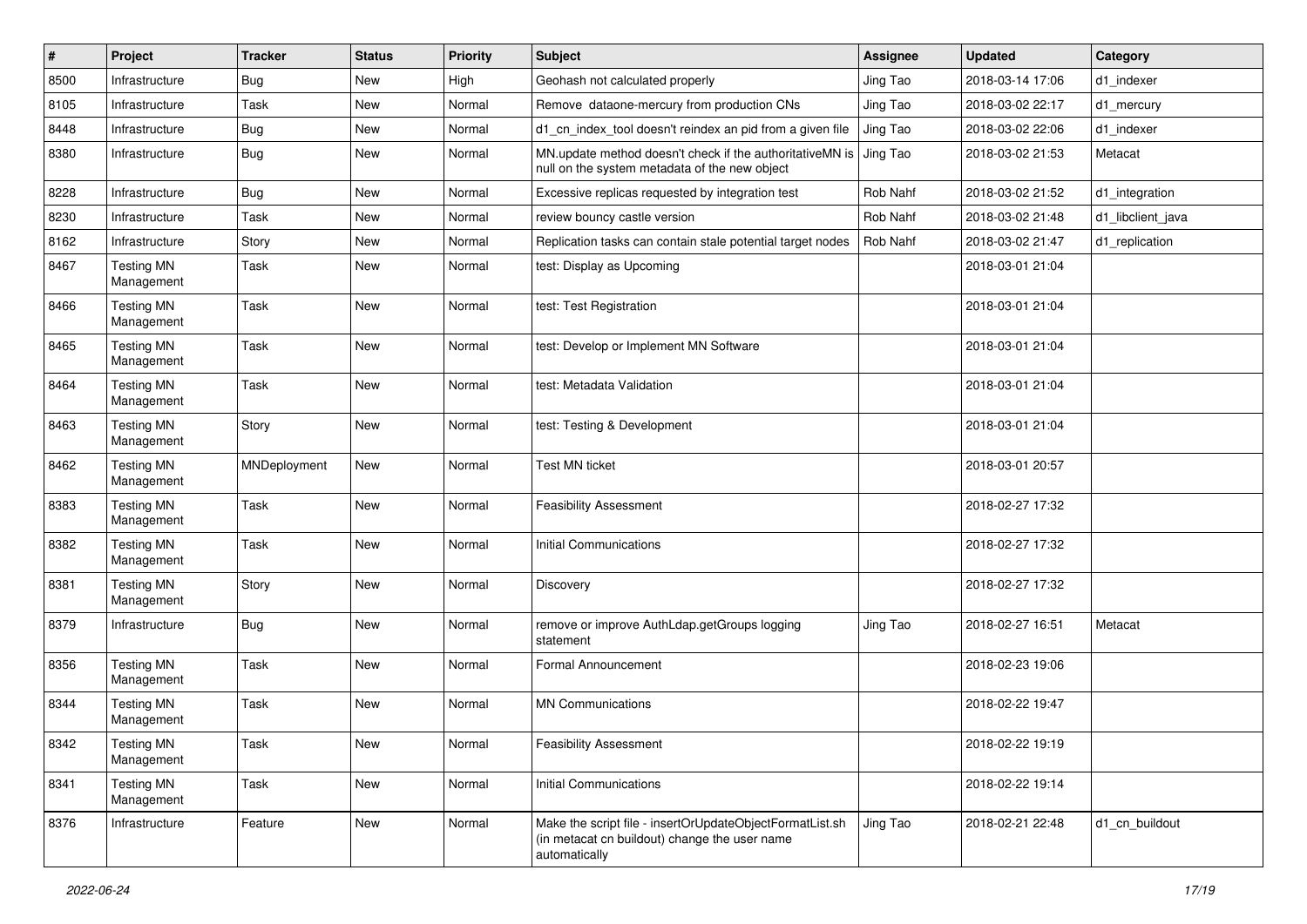| $\vert$ # | Project                         | <b>Tracker</b> | <b>Status</b> | <b>Priority</b> | Subject                                                                                                                    | <b>Assignee</b> | <b>Updated</b>   | Category          |
|-----------|---------------------------------|----------------|---------------|-----------------|----------------------------------------------------------------------------------------------------------------------------|-----------------|------------------|-------------------|
| 8500      | Infrastructure                  | <b>Bug</b>     | New           | High            | Geohash not calculated properly                                                                                            | Jing Tao        | 2018-03-14 17:06 | d1 indexer        |
| 8105      | Infrastructure                  | Task           | New           | Normal          | Remove dataone-mercury from production CNs                                                                                 | Jing Tao        | 2018-03-02 22:17 | d1_mercury        |
| 8448      | Infrastructure                  | Bug            | New           | Normal          | d1_cn_index_tool doesn't reindex an pid from a given file                                                                  | Jing Tao        | 2018-03-02 22:06 | d1 indexer        |
| 8380      | Infrastructure                  | Bug            | New           | Normal          | MN.update method doesn't check if the authoritativeMN is<br>null on the system metadata of the new object                  | Jing Tao        | 2018-03-02 21:53 | Metacat           |
| 8228      | Infrastructure                  | Bug            | New           | Normal          | Excessive replicas requested by integration test                                                                           | Rob Nahf        | 2018-03-02 21:52 | d1_integration    |
| 8230      | Infrastructure                  | Task           | New           | Normal          | review bouncy castle version                                                                                               | Rob Nahf        | 2018-03-02 21:48 | d1_libclient_java |
| 8162      | Infrastructure                  | Story          | New           | Normal          | Replication tasks can contain stale potential target nodes                                                                 | Rob Nahf        | 2018-03-02 21:47 | d1_replication    |
| 8467      | <b>Testing MN</b><br>Management | Task           | New           | Normal          | test: Display as Upcoming                                                                                                  |                 | 2018-03-01 21:04 |                   |
| 8466      | <b>Testing MN</b><br>Management | Task           | New           | Normal          | test: Test Registration                                                                                                    |                 | 2018-03-01 21:04 |                   |
| 8465      | <b>Testing MN</b><br>Management | Task           | New           | Normal          | test: Develop or Implement MN Software                                                                                     |                 | 2018-03-01 21:04 |                   |
| 8464      | <b>Testing MN</b><br>Management | Task           | New           | Normal          | test: Metadata Validation                                                                                                  |                 | 2018-03-01 21:04 |                   |
| 8463      | <b>Testing MN</b><br>Management | Story          | New           | Normal          | test: Testing & Development                                                                                                |                 | 2018-03-01 21:04 |                   |
| 8462      | <b>Testing MN</b><br>Management | MNDeployment   | New           | Normal          | <b>Test MN ticket</b>                                                                                                      |                 | 2018-03-01 20:57 |                   |
| 8383      | <b>Testing MN</b><br>Management | <b>Task</b>    | New           | Normal          | <b>Feasibility Assessment</b>                                                                                              |                 | 2018-02-27 17:32 |                   |
| 8382      | <b>Testing MN</b><br>Management | Task           | New           | Normal          | <b>Initial Communications</b>                                                                                              |                 | 2018-02-27 17:32 |                   |
| 8381      | <b>Testing MN</b><br>Management | Story          | New           | Normal          | Discovery                                                                                                                  |                 | 2018-02-27 17:32 |                   |
| 8379      | Infrastructure                  | <b>Bug</b>     | New           | Normal          | remove or improve AuthLdap.getGroups logging<br>statement                                                                  | Jing Tao        | 2018-02-27 16:51 | Metacat           |
| 8356      | <b>Testing MN</b><br>Management | Task           | New           | Normal          | Formal Announcement                                                                                                        |                 | 2018-02-23 19:06 |                   |
| 8344      | <b>Testing MN</b><br>Management | Task           | New           | Normal          | <b>MN Communications</b>                                                                                                   |                 | 2018-02-22 19:47 |                   |
| 8342      | <b>Testing MN</b><br>Management | Task           | New           | Normal          | <b>Feasibility Assessment</b>                                                                                              |                 | 2018-02-22 19:19 |                   |
| 8341      | <b>Testing MN</b><br>Management | Task           | New           | Normal          | <b>Initial Communications</b>                                                                                              |                 | 2018-02-22 19:14 |                   |
| 8376      | Infrastructure                  | Feature        | New           | Normal          | Make the script file - insertOrUpdateObjectFormatList.sh<br>(in metacat cn buildout) change the user name<br>automatically | Jing Tao        | 2018-02-21 22:48 | d1_cn_buildout    |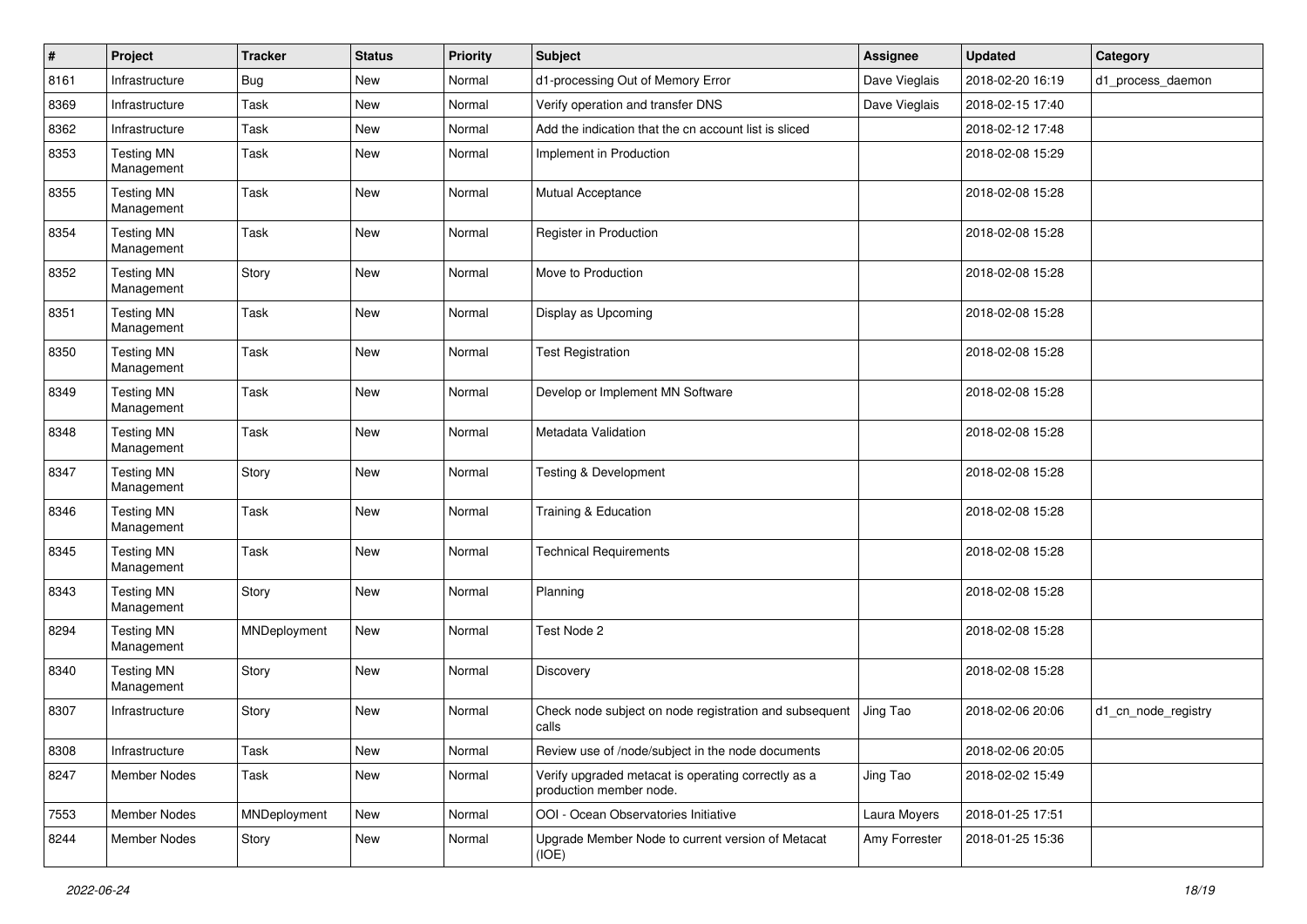| $\#$ | Project                         | <b>Tracker</b> | <b>Status</b> | <b>Priority</b> | Subject                                                                        | Assignee      | <b>Updated</b>   | Category            |
|------|---------------------------------|----------------|---------------|-----------------|--------------------------------------------------------------------------------|---------------|------------------|---------------------|
| 8161 | Infrastructure                  | <b>Bug</b>     | New           | Normal          | d1-processing Out of Memory Error                                              | Dave Vieglais | 2018-02-20 16:19 | d1_process_daemon   |
| 8369 | Infrastructure                  | Task           | New           | Normal          | Verify operation and transfer DNS                                              | Dave Vieglais | 2018-02-15 17:40 |                     |
| 8362 | Infrastructure                  | Task           | New           | Normal          | Add the indication that the cn account list is sliced                          |               | 2018-02-12 17:48 |                     |
| 8353 | <b>Testing MN</b><br>Management | Task           | New           | Normal          | Implement in Production                                                        |               | 2018-02-08 15:29 |                     |
| 8355 | <b>Testing MN</b><br>Management | Task           | New           | Normal          | <b>Mutual Acceptance</b>                                                       |               | 2018-02-08 15:28 |                     |
| 8354 | <b>Testing MN</b><br>Management | Task           | <b>New</b>    | Normal          | Register in Production                                                         |               | 2018-02-08 15:28 |                     |
| 8352 | <b>Testing MN</b><br>Management | Story          | New           | Normal          | Move to Production                                                             |               | 2018-02-08 15:28 |                     |
| 8351 | <b>Testing MN</b><br>Management | Task           | New           | Normal          | Display as Upcoming                                                            |               | 2018-02-08 15:28 |                     |
| 8350 | <b>Testing MN</b><br>Management | Task           | New           | Normal          | <b>Test Registration</b>                                                       |               | 2018-02-08 15:28 |                     |
| 8349 | <b>Testing MN</b><br>Management | Task           | New           | Normal          | Develop or Implement MN Software                                               |               | 2018-02-08 15:28 |                     |
| 8348 | <b>Testing MN</b><br>Management | Task           | New           | Normal          | Metadata Validation                                                            |               | 2018-02-08 15:28 |                     |
| 8347 | <b>Testing MN</b><br>Management | Story          | New           | Normal          | <b>Testing &amp; Development</b>                                               |               | 2018-02-08 15:28 |                     |
| 8346 | <b>Testing MN</b><br>Management | Task           | New           | Normal          | Training & Education                                                           |               | 2018-02-08 15:28 |                     |
| 8345 | <b>Testing MN</b><br>Management | Task           | New           | Normal          | <b>Technical Requirements</b>                                                  |               | 2018-02-08 15:28 |                     |
| 8343 | <b>Testing MN</b><br>Management | Story          | <b>New</b>    | Normal          | Planning                                                                       |               | 2018-02-08 15:28 |                     |
| 8294 | <b>Testing MN</b><br>Management | MNDeployment   | New           | Normal          | Test Node 2                                                                    |               | 2018-02-08 15:28 |                     |
| 8340 | <b>Testing MN</b><br>Management | Story          | New           | Normal          | Discovery                                                                      |               | 2018-02-08 15:28 |                     |
| 8307 | Infrastructure                  | Story          | New           | Normal          | Check node subject on node registration and subsequent<br>calls                | Jing Tao      | 2018-02-06 20:06 | d1_cn_node_registry |
| 8308 | Infrastructure                  | Task           | New           | Normal          | Review use of /node/subject in the node documents                              |               | 2018-02-06 20:05 |                     |
| 8247 | Member Nodes                    | Task           | New           | Normal          | Verify upgraded metacat is operating correctly as a<br>production member node. | Jing Tao      | 2018-02-02 15:49 |                     |
| 7553 | Member Nodes                    | MNDeployment   | New           | Normal          | OOI - Ocean Observatories Initiative                                           | Laura Moyers  | 2018-01-25 17:51 |                     |
| 8244 | Member Nodes                    | Story          | New           | Normal          | Upgrade Member Node to current version of Metacat<br>(IOE)                     | Amy Forrester | 2018-01-25 15:36 |                     |